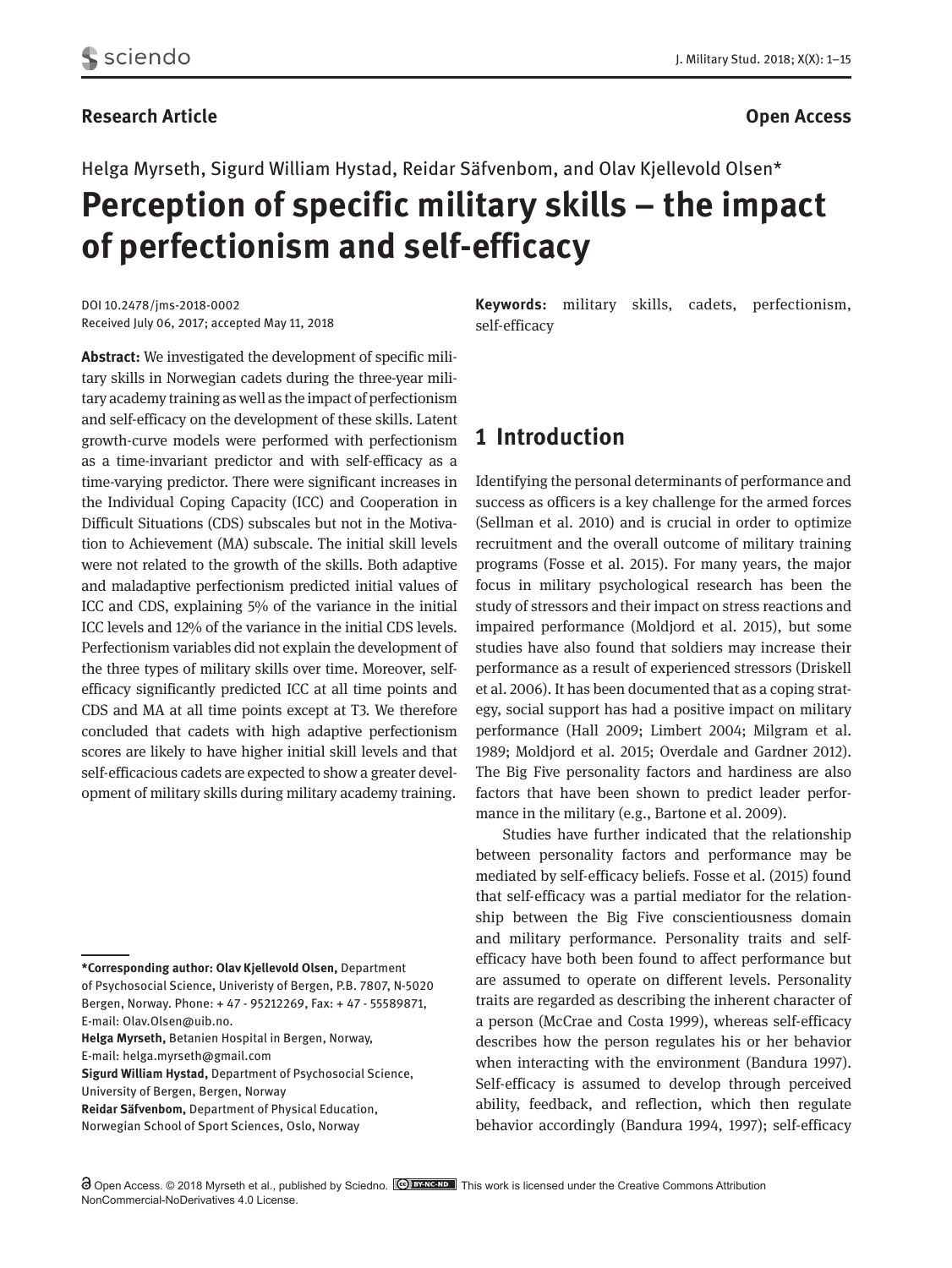#### **Research Article Open Access**

Helga Myrseth, Sigurd William Hystad, Reidar Säfvenbom, and Olav Kjellevold Olsen\* **Perception of specific military skills – the impact of perfectionism and self-efficacy**

DOI 10.2478/jms-2018-0002 Received July 06, 2017; accepted May 11, 2018 **Keywords:** military skills, cadets, perfectionism, self-efficacy

**Abstract:** We investigated the development of specific military skills in Norwegian cadets during the three-year military academy training as well as the impact of perfectionism and self-efficacy on the development of these skills. Latent growth-curve models were performed with perfectionism as a time-invariant predictor and with self-efficacy as a time-varying predictor. There were significant increases in the Individual Coping Capacity (ICC) and Cooperation in Difficult Situations (CDS) subscales but not in the Motivation to Achievement (MA) subscale. The initial skill levels were not related to the growth of the skills. Both adaptive and maladaptive perfectionism predicted initial values of ICC and CDS, explaining 5% of the variance in the initial ICC levels and 12% of the variance in the initial CDS levels. Perfectionism variables did not explain the development of the three types of military skills over time. Moreover, self-efficacy significantly predicted ICC at all time points and CDS and MA at all time points except at T3. We therefore concluded that cadets with high adaptive perfectionism scores are likely to have higher initial skill levels and that self-efficacious cadets are expected to show a greater development of military skills during military academy training.

**Helga Myrseth,** Betanien Hospital in Bergen, Norway,

**Reidar Säfvenbom,** Department of Physical Education,

Norwegian School of Sport Sciences, Oslo, Norway

# **1 Introduction**

Identifying the personal determinants of performance and success as officers is a key challenge for the armed forces (Sellman et al. 2010) and is crucial in order to optimize recruitment and the overall outcome of military training programs (Fosse et al. 2015). For many years, the major focus in military psychological research has been the study of stressors and their impact on stress reactions and impaired performance (Moldjord et al. 2015), but some studies have also found that soldiers may increase their performance as a result of experienced stressors (Driskell et al. 2006). It has been documented that as a coping strategy, social support has had a positive impact on military performance (Hall 2009; Limbert 2004; Milgram et al. 1989; Moldjord et al. 2015; Overdale and Gardner 2012). The Big Five personality factors and hardiness are also factors that have been shown to predict leader performance in the military (e.g., Bartone et al. 2009).

Studies have further indicated that the relationship between personality factors and performance may be mediated by self-efficacy beliefs. Fosse et al. (2015) found that self-efficacy was a partial mediator for the relationship between the Big Five conscientiousness domain and military performance. Personality traits and selfefficacy have both been found to affect performance but are assumed to operate on different levels. Personality traits are regarded as describing the inherent character of a person (McCrae and Costa 1999), whereas self-efficacy describes how the person regulates his or her behavior when interacting with the environment (Bandura 1997). Self-efficacy is assumed to develop through perceived ability, feedback, and reflection, which then regulate behavior accordingly (Bandura 1994, 1997); self-efficacy

**<sup>\*</sup>Corresponding author: Olav Kjellevold Olsen,** Department of Psychosocial Science, Univeristy of Bergen, P.B. 7807, N-5020 Bergen, Norway. Phone: + 47 - 95212269, Fax: + 47 - 55589871, E-mail: Olav.Olsen@uib.no.

E-mail: helga.myrseth@gmail.com

**Sigurd William Hystad,** Department of Psychosocial Science, University of Bergen, Bergen, Norway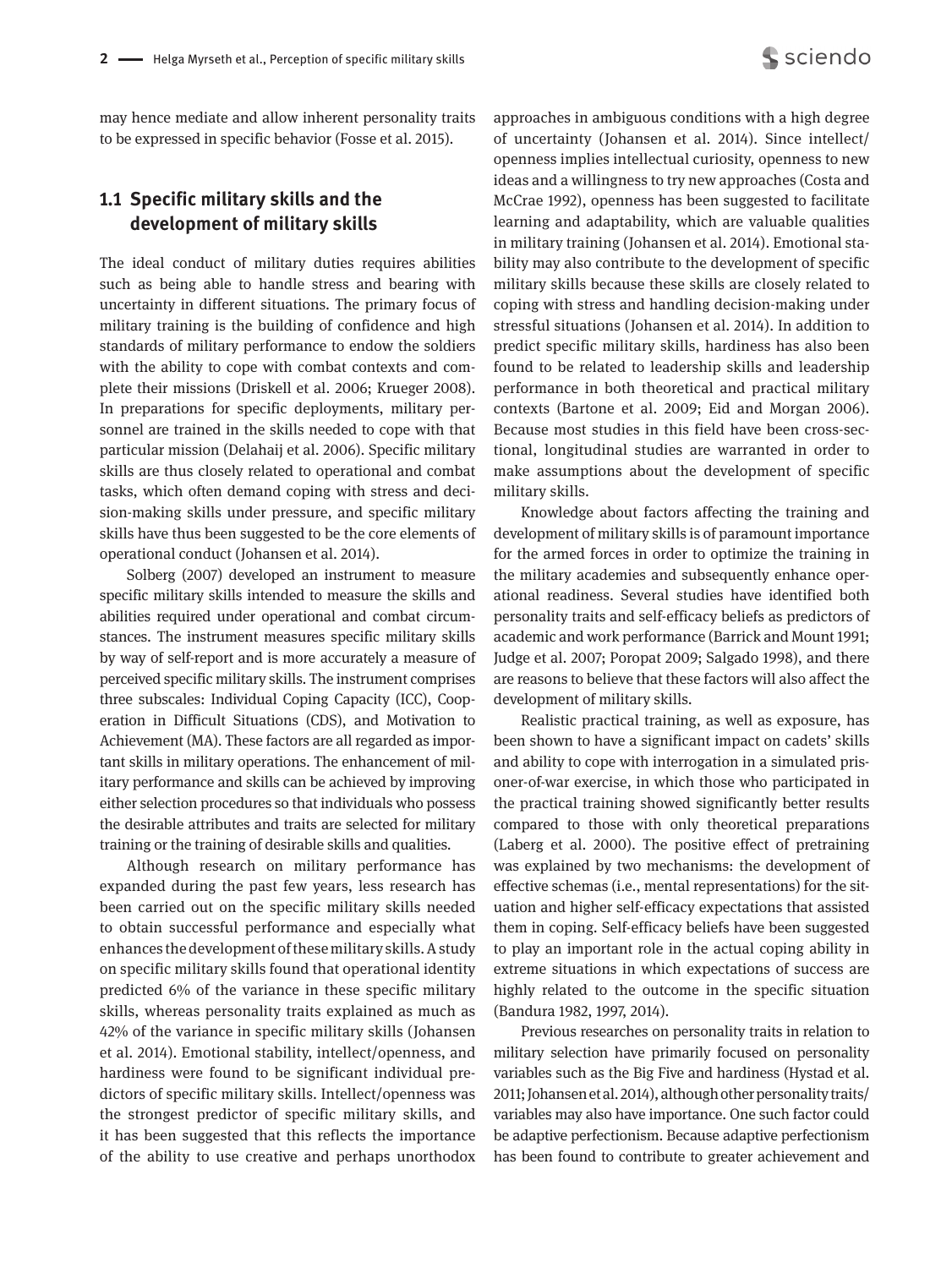

may hence mediate and allow inherent personality traits to be expressed in specific behavior (Fosse et al. 2015).

## **1.1 Specific military skills and the development of military skills**

The ideal conduct of military duties requires abilities such as being able to handle stress and bearing with uncertainty in different situations. The primary focus of military training is the building of confidence and high standards of military performance to endow the soldiers with the ability to cope with combat contexts and complete their missions (Driskell et al. 2006; Krueger 2008). In preparations for specific deployments, military personnel are trained in the skills needed to cope with that particular mission (Delahaij et al. 2006). Specific military skills are thus closely related to operational and combat tasks, which often demand coping with stress and decision-making skills under pressure, and specific military skills have thus been suggested to be the core elements of operational conduct (Johansen et al. 2014).

Solberg (2007) developed an instrument to measure specific military skills intended to measure the skills and abilities required under operational and combat circumstances. The instrument measures specific military skills by way of self-report and is more accurately a measure of perceived specific military skills. The instrument comprises three subscales: Individual Coping Capacity (ICC), Cooperation in Difficult Situations (CDS), and Motivation to Achievement (MA). These factors are all regarded as important skills in military operations. The enhancement of military performance and skills can be achieved by improving either selection procedures so that individuals who possess the desirable attributes and traits are selected for military training or the training of desirable skills and qualities.

Although research on military performance has expanded during the past few years, less research has been carried out on the specific military skills needed to obtain successful performance and especially what enhances the development of these military skills. A study on specific military skills found that operational identity predicted 6% of the variance in these specific military skills, whereas personality traits explained as much as 42% of the variance in specific military skills (Johansen et al. 2014). Emotional stability, intellect/openness, and hardiness were found to be significant individual predictors of specific military skills. Intellect/openness was the strongest predictor of specific military skills, and it has been suggested that this reflects the importance of the ability to use creative and perhaps unorthodox approaches in ambiguous conditions with a high degree of uncertainty (Johansen et al. 2014). Since intellect/ openness implies intellectual curiosity, openness to new ideas and a willingness to try new approaches (Costa and McCrae 1992), openness has been suggested to facilitate learning and adaptability, which are valuable qualities in military training (Johansen et al. 2014). Emotional stability may also contribute to the development of specific military skills because these skills are closely related to coping with stress and handling decision-making under stressful situations (Johansen et al. 2014). In addition to predict specific military skills, hardiness has also been found to be related to leadership skills and leadership performance in both theoretical and practical military contexts (Bartone et al. 2009; Eid and Morgan 2006). Because most studies in this field have been cross-sectional, longitudinal studies are warranted in order to make assumptions about the development of specific military skills.

Knowledge about factors affecting the training and development of military skills is of paramount importance for the armed forces in order to optimize the training in the military academies and subsequently enhance operational readiness. Several studies have identified both personality traits and self-efficacy beliefs as predictors of academic and work performance (Barrick and Mount 1991; Judge et al. 2007; Poropat 2009; Salgado 1998), and there are reasons to believe that these factors will also affect the development of military skills.

Realistic practical training, as well as exposure, has been shown to have a significant impact on cadets' skills and ability to cope with interrogation in a simulated prisoner-of-war exercise, in which those who participated in the practical training showed significantly better results compared to those with only theoretical preparations (Laberg et al. 2000). The positive effect of pretraining was explained by two mechanisms: the development of effective schemas (i.e., mental representations) for the situation and higher self-efficacy expectations that assisted them in coping. Self-efficacy beliefs have been suggested to play an important role in the actual coping ability in extreme situations in which expectations of success are highly related to the outcome in the specific situation (Bandura 1982, 1997, 2014).

Previous researches on personality traits in relation to military selection have primarily focused on personality variables such as the Big Five and hardiness (Hystad et al. 2011; Johansen et al. 2014), although other personality traits/ variables may also have importance. One such factor could be adaptive perfectionism. Because adaptive perfectionism has been found to contribute to greater achievement and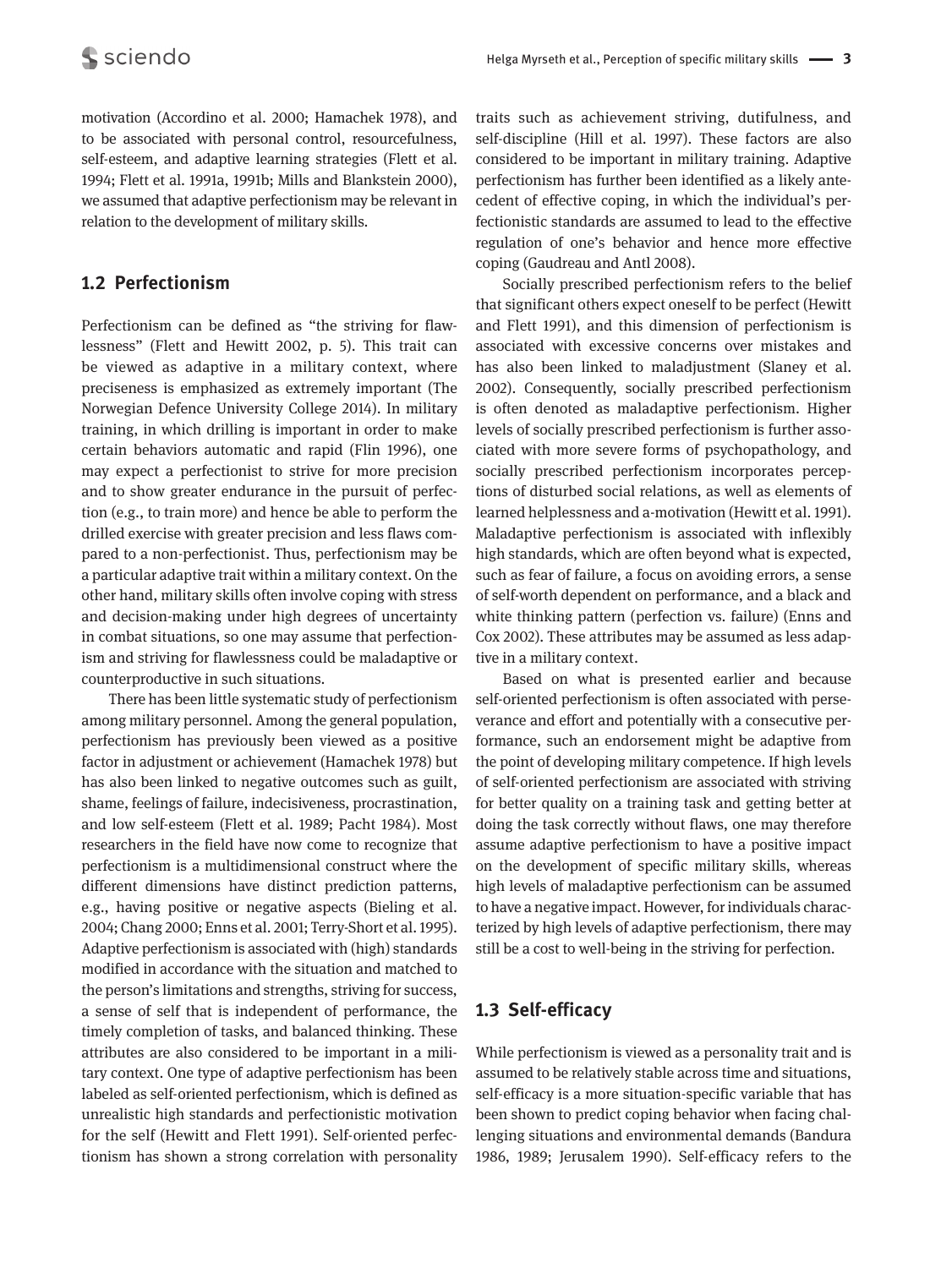motivation (Accordino et al. 2000; Hamachek 1978), and to be associated with personal control, resourcefulness, self-esteem, and adaptive learning strategies (Flett et al. 1994; Flett et al. 1991a, 1991b; Mills and Blankstein 2000), we assumed that adaptive perfectionism may be relevant in relation to the development of military skills.

#### **1.2 Perfectionism**

Perfectionism can be defined as "the striving for flawlessness" (Flett and Hewitt 2002, p. 5). This trait can be viewed as adaptive in a military context, where preciseness is emphasized as extremely important (The Norwegian Defence University College 2014). In military training, in which drilling is important in order to make certain behaviors automatic and rapid (Flin 1996), one may expect a perfectionist to strive for more precision and to show greater endurance in the pursuit of perfection (e.g., to train more) and hence be able to perform the drilled exercise with greater precision and less flaws compared to a non-perfectionist. Thus, perfectionism may be a particular adaptive trait within a military context. On the other hand, military skills often involve coping with stress and decision-making under high degrees of uncertainty in combat situations, so one may assume that perfectionism and striving for flawlessness could be maladaptive or counterproductive in such situations.

There has been little systematic study of perfectionism among military personnel. Among the general population, perfectionism has previously been viewed as a positive factor in adjustment or achievement (Hamachek 1978) but has also been linked to negative outcomes such as guilt, shame, feelings of failure, indecisiveness, procrastination, and low self-esteem (Flett et al. 1989; Pacht 1984). Most researchers in the field have now come to recognize that perfectionism is a multidimensional construct where the different dimensions have distinct prediction patterns, e.g., having positive or negative aspects (Bieling et al. 2004; Chang 2000; Enns et al. 2001; Terry-Short et al. 1995). Adaptive perfectionism is associated with (high) standards modified in accordance with the situation and matched to the person's limitations and strengths, striving for success, a sense of self that is independent of performance, the timely completion of tasks, and balanced thinking. These attributes are also considered to be important in a military context. One type of adaptive perfectionism has been labeled as self-oriented perfectionism, which is defined as unrealistic high standards and perfectionistic motivation for the self (Hewitt and Flett 1991). Self-oriented perfectionism has shown a strong correlation with personality

traits such as achievement striving, dutifulness, and self-discipline (Hill et al. 1997). These factors are also considered to be important in military training. Adaptive perfectionism has further been identified as a likely antecedent of effective coping, in which the individual's perfectionistic standards are assumed to lead to the effective regulation of one's behavior and hence more effective coping (Gaudreau and Antl 2008).

Socially prescribed perfectionism refers to the belief that significant others expect oneself to be perfect (Hewitt and Flett 1991), and this dimension of perfectionism is associated with excessive concerns over mistakes and has also been linked to maladjustment (Slaney et al. 2002). Consequently, socially prescribed perfectionism is often denoted as maladaptive perfectionism. Higher levels of socially prescribed perfectionism is further associated with more severe forms of psychopathology, and socially prescribed perfectionism incorporates perceptions of disturbed social relations, as well as elements of learned helplessness and a-motivation (Hewitt et al. 1991). Maladaptive perfectionism is associated with inflexibly high standards, which are often beyond what is expected, such as fear of failure, a focus on avoiding errors, a sense of self-worth dependent on performance, and a black and white thinking pattern (perfection vs. failure) (Enns and Cox 2002). These attributes may be assumed as less adaptive in a military context.

Based on what is presented earlier and because self-oriented perfectionism is often associated with perseverance and effort and potentially with a consecutive performance, such an endorsement might be adaptive from the point of developing military competence. If high levels of self-oriented perfectionism are associated with striving for better quality on a training task and getting better at doing the task correctly without flaws, one may therefore assume adaptive perfectionism to have a positive impact on the development of specific military skills, whereas high levels of maladaptive perfectionism can be assumed to have a negative impact. However, for individuals characterized by high levels of adaptive perfectionism, there may still be a cost to well-being in the striving for perfection.

### **1.3 Self-efficacy**

While perfectionism is viewed as a personality trait and is assumed to be relatively stable across time and situations, self-efficacy is a more situation-specific variable that has been shown to predict coping behavior when facing challenging situations and environmental demands (Bandura 1986, 1989; Jerusalem 1990). Self-efficacy refers to the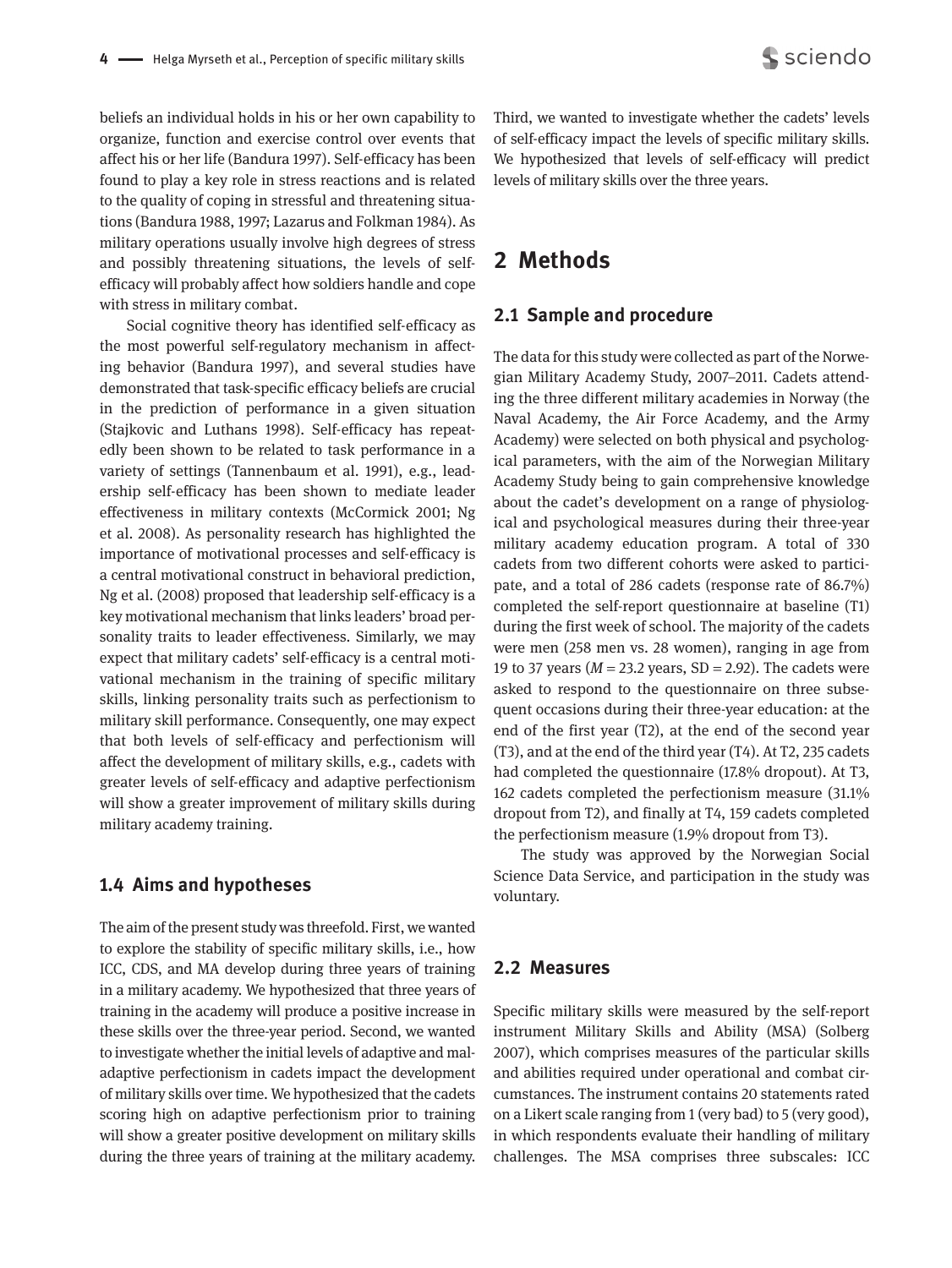beliefs an individual holds in his or her own capability to organize, function and exercise control over events that affect his or her life (Bandura 1997). Self-efficacy has been found to play a key role in stress reactions and is related to the quality of coping in stressful and threatening situations (Bandura 1988, 1997; Lazarus and Folkman 1984). As military operations usually involve high degrees of stress and possibly threatening situations, the levels of selfefficacy will probably affect how soldiers handle and cope with stress in military combat.

Social cognitive theory has identified self-efficacy as the most powerful self-regulatory mechanism in affecting behavior (Bandura 1997), and several studies have demonstrated that task-specific efficacy beliefs are crucial in the prediction of performance in a given situation (Stajkovic and Luthans 1998). Self-efficacy has repeatedly been shown to be related to task performance in a variety of settings (Tannenbaum et al. 1991), e.g., leadership self-efficacy has been shown to mediate leader effectiveness in military contexts (McCormick 2001; Ng et al. 2008). As personality research has highlighted the importance of motivational processes and self-efficacy is a central motivational construct in behavioral prediction, Ng et al. (2008) proposed that leadership self-efficacy is a key motivational mechanism that links leaders' broad personality traits to leader effectiveness. Similarly, we may expect that military cadets' self-efficacy is a central motivational mechanism in the training of specific military skills, linking personality traits such as perfectionism to military skill performance. Consequently, one may expect that both levels of self-efficacy and perfectionism will affect the development of military skills, e.g., cadets with greater levels of self-efficacy and adaptive perfectionism will show a greater improvement of military skills during military academy training.

#### **1.4 Aims and hypotheses**

The aim of the present study was threefold. First, we wanted to explore the stability of specific military skills, i.e., how ICC, CDS, and MA develop during three years of training in a military academy. We hypothesized that three years of training in the academy will produce a positive increase in these skills over the three-year period. Second, we wanted to investigate whether the initial levels of adaptive and maladaptive perfectionism in cadets impact the development of military skills over time. We hypothesized that the cadets scoring high on adaptive perfectionism prior to training will show a greater positive development on military skills during the three years of training at the military academy.

Third, we wanted to investigate whether the cadets' levels of self-efficacy impact the levels of specific military skills. We hypothesized that levels of self-efficacy will predict levels of military skills over the three years.

## **2 Methods**

#### **2.1 Sample and procedure**

The data for this study were collected as part of the Norwegian Military Academy Study, 2007–2011. Cadets attending the three different military academies in Norway (the Naval Academy, the Air Force Academy, and the Army Academy) were selected on both physical and psychological parameters, with the aim of the Norwegian Military Academy Study being to gain comprehensive knowledge about the cadet's development on a range of physiological and psychological measures during their three-year military academy education program. A total of 330 cadets from two different cohorts were asked to participate, and a total of 286 cadets (response rate of 86.7%) completed the self-report questionnaire at baseline (T1) during the first week of school. The majority of the cadets were men (258 men vs. 28 women), ranging in age from 19 to 37 years (*M* = 23.2 years, SD = 2.92). The cadets were asked to respond to the questionnaire on three subsequent occasions during their three-year education: at the end of the first year (T2), at the end of the second year (T3), and at the end of the third year (T4). At T2, 235 cadets had completed the questionnaire (17.8% dropout). At T3, 162 cadets completed the perfectionism measure (31.1% dropout from T2), and finally at T4, 159 cadets completed the perfectionism measure (1.9% dropout from T3).

The study was approved by the Norwegian Social Science Data Service, and participation in the study was voluntary.

#### **2.2 Measures**

Specific military skills were measured by the self-report instrument Military Skills and Ability (MSA) (Solberg 2007), which comprises measures of the particular skills and abilities required under operational and combat circumstances. The instrument contains 20 statements rated on a Likert scale ranging from 1 (very bad) to 5 (very good), in which respondents evaluate their handling of military challenges. The MSA comprises three subscales: ICC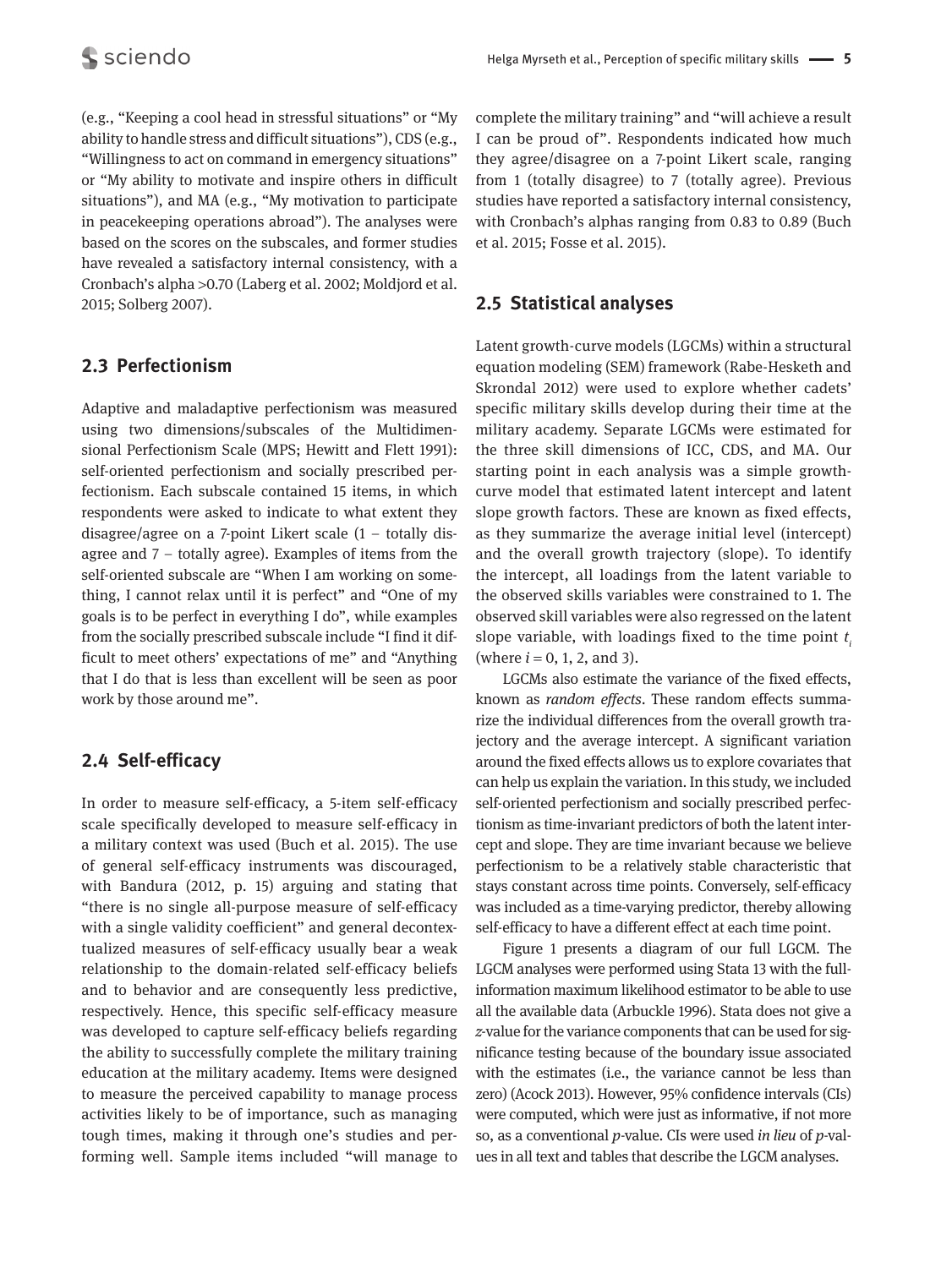(e.g., "Keeping a cool head in stressful situations" or "My ability to handle stress and difficult situations"), CDS (e.g., "Willingness to act on command in emergency situations" or "My ability to motivate and inspire others in difficult situations"), and MA (e.g., "My motivation to participate in peacekeeping operations abroad"). The analyses were based on the scores on the subscales, and former studies have revealed a satisfactory internal consistency, with a Cronbach's alpha >0.70 (Laberg et al. 2002; Moldjord et al. 2015; Solberg 2007).

## **2.3 Perfectionism**

Adaptive and maladaptive perfectionism was measured using two dimensions/subscales of the Multidimensional Perfectionism Scale (MPS; Hewitt and Flett 1991): self-oriented perfectionism and socially prescribed perfectionism. Each subscale contained 15 items, in which respondents were asked to indicate to what extent they disagree/agree on a 7-point Likert scale  $(1 -$  totally disagree and 7 – totally agree). Examples of items from the self-oriented subscale are "When I am working on something, I cannot relax until it is perfect" and "One of my goals is to be perfect in everything I do", while examples from the socially prescribed subscale include "I find it difficult to meet others' expectations of me" and "Anything that I do that is less than excellent will be seen as poor work by those around me".

## **2.4 Self-efficacy**

In order to measure self-efficacy, a 5-item self-efficacy scale specifically developed to measure self-efficacy in a military context was used (Buch et al. 2015). The use of general self-efficacy instruments was discouraged, with Bandura (2012, p. 15) arguing and stating that "there is no single all-purpose measure of self-efficacy with a single validity coefficient" and general decontextualized measures of self-efficacy usually bear a weak relationship to the domain-related self-efficacy beliefs and to behavior and are consequently less predictive, respectively. Hence, this specific self-efficacy measure was developed to capture self-efficacy beliefs regarding the ability to successfully complete the military training education at the military academy. Items were designed to measure the perceived capability to manage process activities likely to be of importance, such as managing tough times, making it through one's studies and performing well. Sample items included "will manage to

complete the military training" and "will achieve a result I can be proud of". Respondents indicated how much they agree/disagree on a 7-point Likert scale, ranging from 1 (totally disagree) to 7 (totally agree). Previous studies have reported a satisfactory internal consistency, with Cronbach's alphas ranging from 0.83 to 0.89 (Buch et al. 2015; Fosse et al. 2015).

## **2.5 Statistical analyses**

Latent growth-curve models (LGCMs) within a structural equation modeling (SEM) framework (Rabe-Hesketh and Skrondal 2012) were used to explore whether cadets' specific military skills develop during their time at the military academy. Separate LGCMs were estimated for the three skill dimensions of ICC, CDS, and MA. Our starting point in each analysis was a simple growthcurve model that estimated latent intercept and latent slope growth factors. These are known as fixed effects, as they summarize the average initial level (intercept) and the overall growth trajectory (slope). To identify the intercept, all loadings from the latent variable to the observed skills variables were constrained to 1. The observed skill variables were also regressed on the latent slope variable, with loadings fixed to the time point  $t_i$ (where  $i = 0, 1, 2,$  and 3).

LGCMs also estimate the variance of the fixed effects, known as *random effects*. These random effects summarize the individual differences from the overall growth trajectory and the average intercept. A significant variation around the fixed effects allows us to explore covariates that can help us explain the variation. In this study, we included self-oriented perfectionism and socially prescribed perfectionism as time-invariant predictors of both the latent intercept and slope. They are time invariant because we believe perfectionism to be a relatively stable characteristic that stays constant across time points. Conversely, self-efficacy was included as a time-varying predictor, thereby allowing self-efficacy to have a different effect at each time point.

Figure 1 presents a diagram of our full LGCM. The LGCM analyses were performed using Stata 13 with the full-information maximum likelihood estimator to be able to use all the available data (Arbuckle 1996). Stata does not give a *z-*value for the variance components that can be used for significance testing because of the boundary issue associated with the estimates (i.e., the variance cannot be less than zero) (Acock 2013). However, 95% confidence intervals (CIs) were computed, which were just as informative, if not more so, as a conventional *p*-value. CIs were used *in lieu* of *p*-values in all text and tables that describe the LGCM analyses.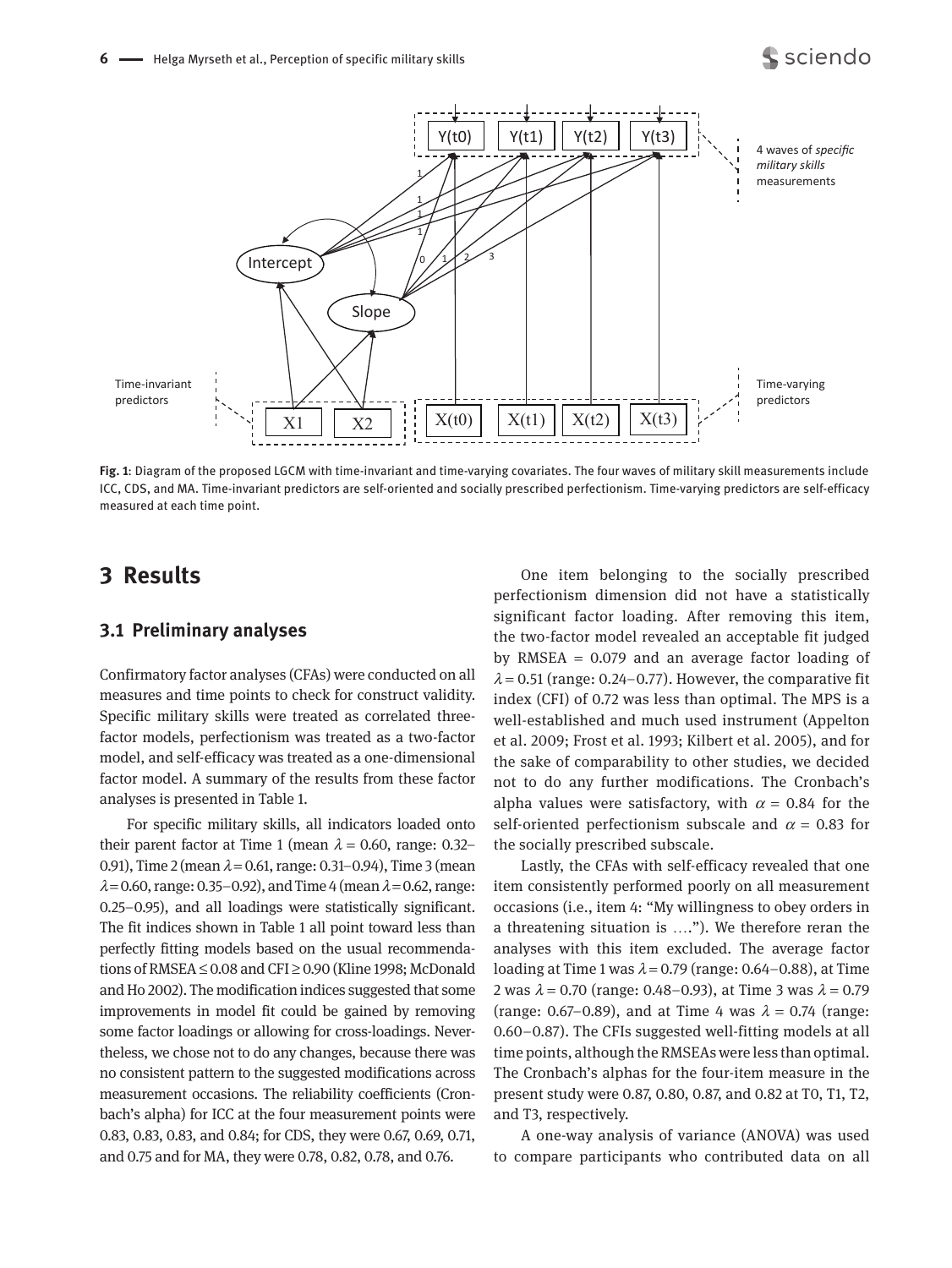

**Fig. 1**: Diagram of the proposed LGCM with time-invariant and time-varying covariates. The four waves of military skill measurements include ICC, CDS, and MA. Time-invariant predictors are self-oriented and socially prescribed perfectionism. Time-varying predictors are self-efficacy measured at each time point.

## **3 Results**

#### **3.1 Preliminary analyses**

Confirmatory factor analyses (CFAs) were conducted on all measures and time points to check for construct validity. Specific military skills were treated as correlated threefactor models, perfectionism was treated as a two-factor model, and self-efficacy was treated as a one-dimensional factor model. A summary of the results from these factor analyses is presented in Table 1.

For specific military skills, all indicators loaded onto their parent factor at Time 1 (mean  $\lambda$  = 0.60, range: 0.32– 0.91), Time 2 (mean  $\lambda$  = 0.61, range: 0.31–0.94), Time 3 (mean  $\lambda$ =0.60, range: 0.35–0.92), and Time 4 (mean  $\lambda$ =0.62, range: 0.25–0.95), and all loadings were statistically significant. The fit indices shown in Table 1 all point toward less than perfectly fitting models based on the usual recommendations of RMSEA ≤ 0.08 and CFI ≥ 0.90 (Kline 1998; McDonald and Ho 2002). The modification indices suggested that some improvements in model fit could be gained by removing some factor loadings or allowing for cross-loadings. Nevertheless, we chose not to do any changes, because there was no consistent pattern to the suggested modifications across measurement occasions. The reliability coefficients (Cronbach's alpha) for ICC at the four measurement points were 0.83, 0.83, 0.83, and 0.84; for CDS, they were 0.67, 0.69, 0.71, and 0.75 and for MA, they were 0.78, 0.82, 0.78, and 0.76.

One item belonging to the socially prescribed perfectionism dimension did not have a statistically significant factor loading. After removing this item, the two-factor model revealed an acceptable fit judged by RMSEA = 0.079 and an average factor loading of  $\lambda$  = 0.51 (range: 0.24–0.77). However, the comparative fit index (CFI) of 0.72 was less than optimal. The MPS is a well-established and much used instrument (Appelton et al. 2009; Frost et al. 1993; Kilbert et al. 2005), and for the sake of comparability to other studies, we decided not to do any further modifications. The Cronbach's alpha values were satisfactory, with  $\alpha$  = 0.84 for the self-oriented perfectionism subscale and  $\alpha$  = 0.83 for the socially prescribed subscale.

Lastly, the CFAs with self-efficacy revealed that one item consistently performed poorly on all measurement occasions (i.e., item 4: "My willingness to obey orders in a threatening situation is …."). We therefore reran the analyses with this item excluded. The average factor loading at Time 1 was  $\lambda$  = 0.79 (range: 0.64–0.88), at Time 2 was  $\lambda$  = 0.70 (range: 0.48–0.93), at Time 3 was  $\lambda$  = 0.79 (range: 0.67–0.89), and at Time 4 was  $\lambda = 0.74$  (range: 0.60–0.87). The CFIs suggested well-fitting models at all time points, although the RMSEAs were less than optimal. The Cronbach's alphas for the four-item measure in the present study were 0.87, 0.80, 0.87, and 0.82 at T0, T1, T2, and T3, respectively.

A one-way analysis of variance (ANOVA) was used to compare participants who contributed data on all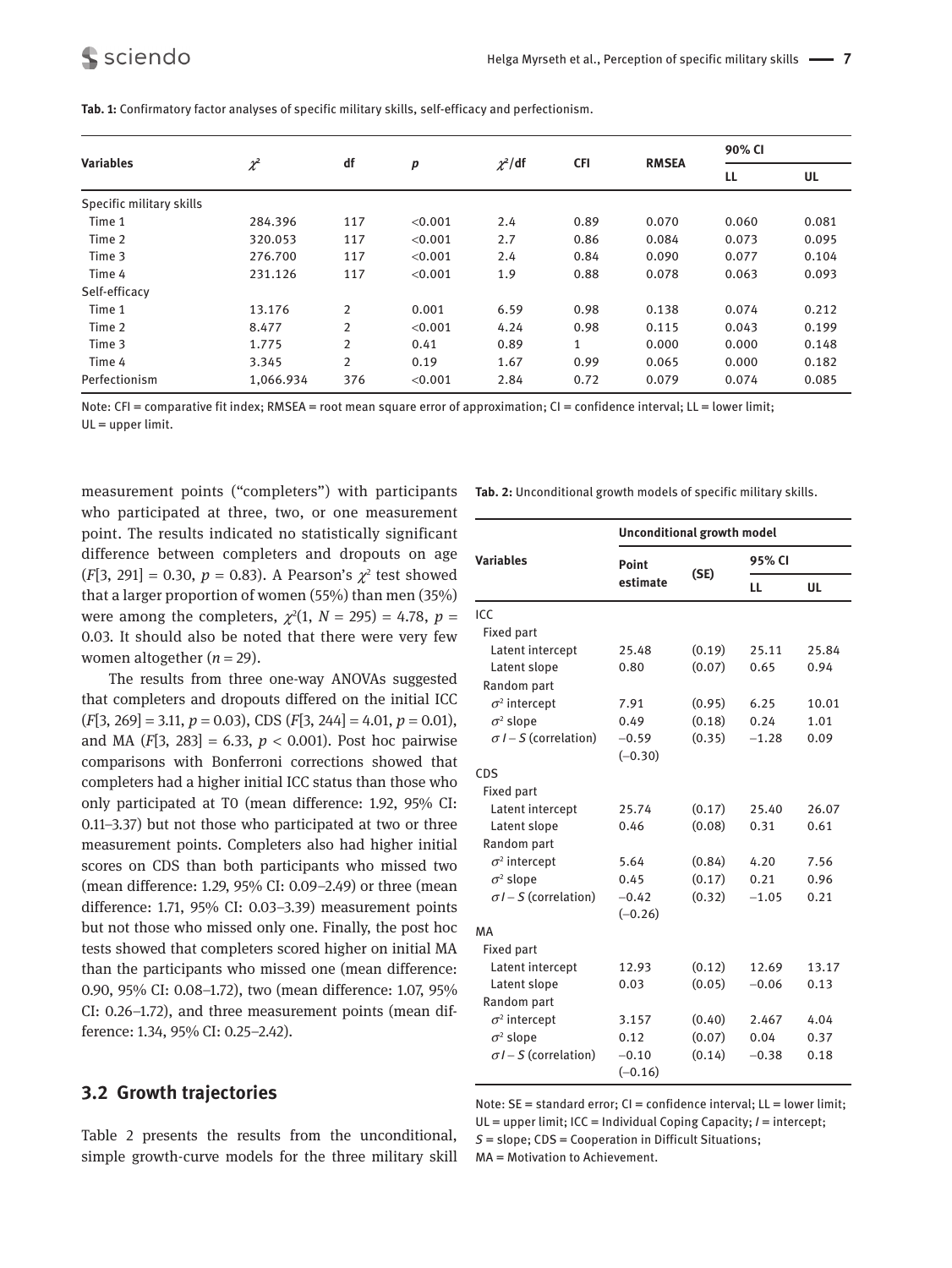|                          | $\chi^2$  | df             | p       | $\chi^2$ /df | <b>CFI</b> | <b>RMSEA</b> | 90% CI |       |
|--------------------------|-----------|----------------|---------|--------------|------------|--------------|--------|-------|
| <b>Variables</b>         |           |                |         |              |            |              | LL     | UL    |
| Specific military skills |           |                |         |              |            |              |        |       |
| Time 1                   | 284.396   | 117            | < 0.001 | 2.4          | 0.89       | 0.070        | 0.060  | 0.081 |
| Time 2                   | 320.053   | 117            | < 0.001 | 2.7          | 0.86       | 0.084        | 0.073  | 0.095 |
| Time 3                   | 276.700   | 117            | < 0.001 | 2.4          | 0.84       | 0.090        | 0.077  | 0.104 |
| Time 4                   | 231.126   | 117            | < 0.001 | 1.9          | 0.88       | 0.078        | 0.063  | 0.093 |
| Self-efficacy            |           |                |         |              |            |              |        |       |
| Time 1                   | 13.176    | $\overline{2}$ | 0.001   | 6.59         | 0.98       | 0.138        | 0.074  | 0.212 |
| Time 2                   | 8.477     | 2              | < 0.001 | 4.24         | 0.98       | 0.115        | 0.043  | 0.199 |
| Time 3                   | 1.775     | 2              | 0.41    | 0.89         | 1          | 0.000        | 0.000  | 0.148 |
| Time 4                   | 3.345     | $\overline{2}$ | 0.19    | 1.67         | 0.99       | 0.065        | 0.000  | 0.182 |
| Perfectionism            | 1,066.934 | 376            | < 0.001 | 2.84         | 0.72       | 0.079        | 0.074  | 0.085 |

**Tab. 1:** Confirmatory factor analyses of specific military skills, self-efficacy and perfectionism.

Note: CFI = comparative fit index; RMSEA = root mean square error of approximation; CI = confidence interval; LL = lower limit; UL = upper limit.

measurement points ("completers") with participants who participated at three, two, or one measurement point. The results indicated no statistically significant difference between completers and dropouts on age  $(F[3, 291] = 0.30, p = 0.83)$ . A Pearson's  $\chi^2$  test showed that a larger proportion of women (55%) than men (35%) were among the completers,  $\chi^2(1, N = 295) = 4.78$ ,  $p =$ 0.03. It should also be noted that there were very few women altogether  $(n = 29)$ .

The results from three one-way ANOVAs suggested that completers and dropouts differed on the initial ICC (*F*[3, 269] = 3.11, *p* = 0.03), CDS (*F*[3, 244] = 4.01, *p* = 0.01), and MA  $(F[3, 283] = 6.33, p < 0.001)$ . Post hoc pairwise comparisons with Bonferroni corrections showed that completers had a higher initial ICC status than those who only participated at T0 (mean difference: 1.92, 95% CI: 0.11–3.37) but not those who participated at two or three measurement points. Completers also had higher initial scores on CDS than both participants who missed two (mean difference: 1.29, 95% CI: 0.09–2.49) or three (mean difference: 1.71, 95% CI: 0.03–3.39) measurement points but not those who missed only one. Finally, the post hoc tests showed that completers scored higher on initial MA than the participants who missed one (mean difference: 0.90, 95% CI: 0.08–1.72), two (mean difference: 1.07, 95% CI: 0.26–1.72), and three measurement points (mean difference: 1.34, 95% CI: 0.25–2.42).

#### **3.2 Growth trajectories**

Table 2 presents the results from the unconditional, simple growth-curve models for the three military skill **Tab. 2:** Unconditional growth models of specific military skills.

|                                            | <b>Unconditional growth model</b> |        |         |       |  |  |
|--------------------------------------------|-----------------------------------|--------|---------|-------|--|--|
| <b>Variables</b>                           | Point                             |        | 95% CI  |       |  |  |
|                                            | estimate                          | (SE)   | LL      | UL    |  |  |
| ICC                                        |                                   |        |         |       |  |  |
| <b>Fixed part</b>                          |                                   |        |         |       |  |  |
| Latent intercept                           | 25.48                             | (0.19) | 25.11   | 25.84 |  |  |
| Latent slope                               | 0.80                              | (0.07) | 0.65    | 0.94  |  |  |
| Random part                                |                                   |        |         |       |  |  |
| $\sigma^2$ intercept                       | 7.91                              | (0.95) | 6.25    | 10.01 |  |  |
| $\sigma^2$ slope                           | 0.49                              | (0.18) | 0.24    | 1.01  |  |  |
| $\sigma$ <i>I</i> – <i>S</i> (correlation) | $-0.59$                           | (0.35) | $-1.28$ | 0.09  |  |  |
|                                            | $(-0.30)$                         |        |         |       |  |  |
| CDS                                        |                                   |        |         |       |  |  |
| <b>Fixed part</b>                          |                                   |        |         |       |  |  |
| Latent intercept                           | 25.74                             | (0.17) | 25.40   | 26.07 |  |  |
| Latent slope                               | 0.46                              | (0.08) | 0.31    | 0.61  |  |  |
| Random part                                |                                   |        |         |       |  |  |
| $\sigma^2$ intercept                       | 5.64                              | (0.84) | 4.20    | 7.56  |  |  |
| $\sigma^2$ slope                           | 0.45                              | (0.17) | 0.21    | 0.96  |  |  |
| $\sigma$ I – S (correlation)               | $-0.42$                           | (0.32) | $-1.05$ | 0.21  |  |  |
|                                            | $(-0.26)$                         |        |         |       |  |  |
| MA                                         |                                   |        |         |       |  |  |
| <b>Fixed part</b>                          |                                   |        |         |       |  |  |
| Latent intercept                           | 12.93                             | (0.12) | 12.69   | 13.17 |  |  |
| Latent slope                               | 0.03                              | (0.05) | $-0.06$ | 0.13  |  |  |
| Random part                                |                                   |        |         |       |  |  |
| $\sigma^2$ intercept                       | 3.157                             | (0.40) | 2.467   | 4.04  |  |  |
| $\sigma^2$ slope                           | 0.12                              | (0.07) | 0.04    | 0.37  |  |  |
| $\sigma$ I – S (correlation)               | $-0.10$                           | (0.14) | $-0.38$ | 0.18  |  |  |
|                                            | $(-0.16)$                         |        |         |       |  |  |

Note: SE = standard error; CI = confidence interval; LL = lower limit; UL = upper limit; ICC = Individual Coping Capacity; *I* = intercept; *S* = slope; CDS = Cooperation in Difficult Situations;

MA = Motivation to Achievement.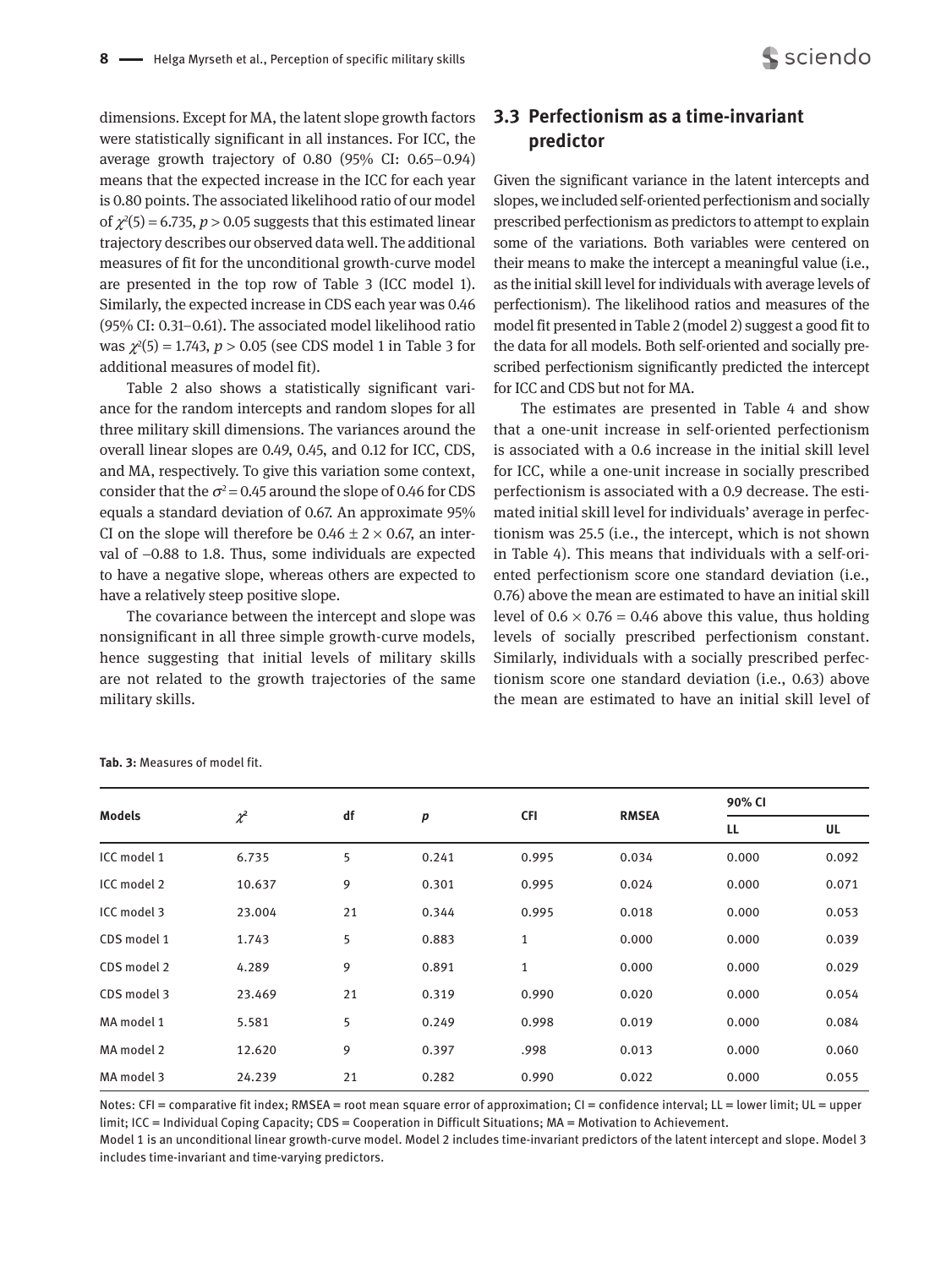dimensions. Except for MA, the latent slope growth factors were statistically significant in all instances. For ICC, the average growth trajectory of 0.80 (95% CI: 0.65–0.94) means that the expected increase in the ICC for each year is 0.80 points. The associated likelihood ratio of our model of  $\chi^2(5)$  = 6.735, *p* > 0.05 suggests that this estimated linear trajectory describes our observed data well. The additional measures of fit for the unconditional growth-curve model are presented in the top row of Table 3 (ICC model 1). Similarly, the expected increase in CDS each year was 0.46 (95% CI: 0.31–0.61). The associated model likelihood ratio was  $\chi^2(5) = 1.743$ ,  $p > 0.05$  (see CDS model 1 in Table 3 for additional measures of model fit).

Table 2 also shows a statistically significant variance for the random intercepts and random slopes for all three military skill dimensions. The variances around the overall linear slopes are 0.49, 0.45, and 0.12 for ICC, CDS, and MA, respectively. To give this variation some context, consider that the  $\sigma^2$  = 0.45 around the slope of 0.46 for CDS equals a standard deviation of 0.67. An approximate 95% CI on the slope will therefore be  $0.46 \pm 2 \times 0.67$ , an interval of -0.88 to 1.8. Thus, some individuals are expected to have a negative slope, whereas others are expected to have a relatively steep positive slope.

The covariance between the intercept and slope was nonsignificant in all three simple growth-curve models, hence suggesting that initial levels of military skills are not related to the growth trajectories of the same military skills.

## **3.3 Perfectionism as a time-invariant predictor**

Given the significant variance in the latent intercepts and slopes, we included self-oriented perfectionism and socially prescribed perfectionism as predictors to attempt to explain some of the variations. Both variables were centered on their means to make the intercept a meaningful value (i.e., as the initial skill level for individuals with average levels of perfectionism). The likelihood ratios and measures of the model fit presented in Table 2 (model 2) suggest a good fit to the data for all models. Both self-oriented and socially prescribed perfectionism significantly predicted the intercept for ICC and CDS but not for MA.

The estimates are presented in Table 4 and show that a one-unit increase in self-oriented perfectionism is associated with a 0.6 increase in the initial skill level for ICC, while a one-unit increase in socially prescribed perfectionism is associated with a 0.9 decrease. The estimated initial skill level for individuals' average in perfectionism was 25.5 (i.e., the intercept, which is not shown in Table 4). This means that individuals with a self-oriented perfectionism score one standard deviation (i.e., 0.76) above the mean are estimated to have an initial skill level of  $0.6 \times 0.76 = 0.46$  above this value, thus holding levels of socially prescribed perfectionism constant. Similarly, individuals with a socially prescribed perfectionism score one standard deviation (i.e., 0.63) above the mean are estimated to have an initial skill level of

| <b>Models</b> |          |    |       |              |              | 90% CI |       |  |
|---------------|----------|----|-------|--------------|--------------|--------|-------|--|
|               | $\chi^2$ | df | p     | <b>CFI</b>   | <b>RMSEA</b> | LL     | UL    |  |
| ICC model 1   | 6.735    | 5  | 0.241 | 0.995        | 0.034        | 0.000  | 0.092 |  |
| ICC model 2   | 10.637   | 9  | 0.301 | 0.995        | 0.024        | 0.000  | 0.071 |  |
| ICC model 3   | 23.004   | 21 | 0.344 | 0.995        | 0.018        | 0.000  | 0.053 |  |
| CDS model 1   | 1.743    | 5  | 0.883 | $\mathbf{1}$ | 0.000        | 0.000  | 0.039 |  |
| CDS model 2   | 4.289    | 9  | 0.891 | $\mathbf{1}$ | 0.000        | 0.000  | 0.029 |  |
| CDS model 3   | 23.469   | 21 | 0.319 | 0.990        | 0.020        | 0.000  | 0.054 |  |
| MA model 1    | 5.581    | 5  | 0.249 | 0.998        | 0.019        | 0.000  | 0.084 |  |
| MA model 2    | 12.620   | 9  | 0.397 | .998         | 0.013        | 0.000  | 0.060 |  |
| MA model 3    | 24.239   | 21 | 0.282 | 0.990        | 0.022        | 0.000  | 0.055 |  |

**Tab. 3:** Measures of model fit.

Notes: CFI = comparative fit index; RMSEA = root mean square error of approximation; CI = confidence interval; LL = lower limit; UL = upper limit; ICC = Individual Coping Capacity; CDS = Cooperation in Difficult Situations; MA = Motivation to Achievement.

Model 1 is an unconditional linear growth-curve model. Model 2 includes time-invariant predictors of the latent intercept and slope. Model 3 includes time-invariant and time-varying predictors.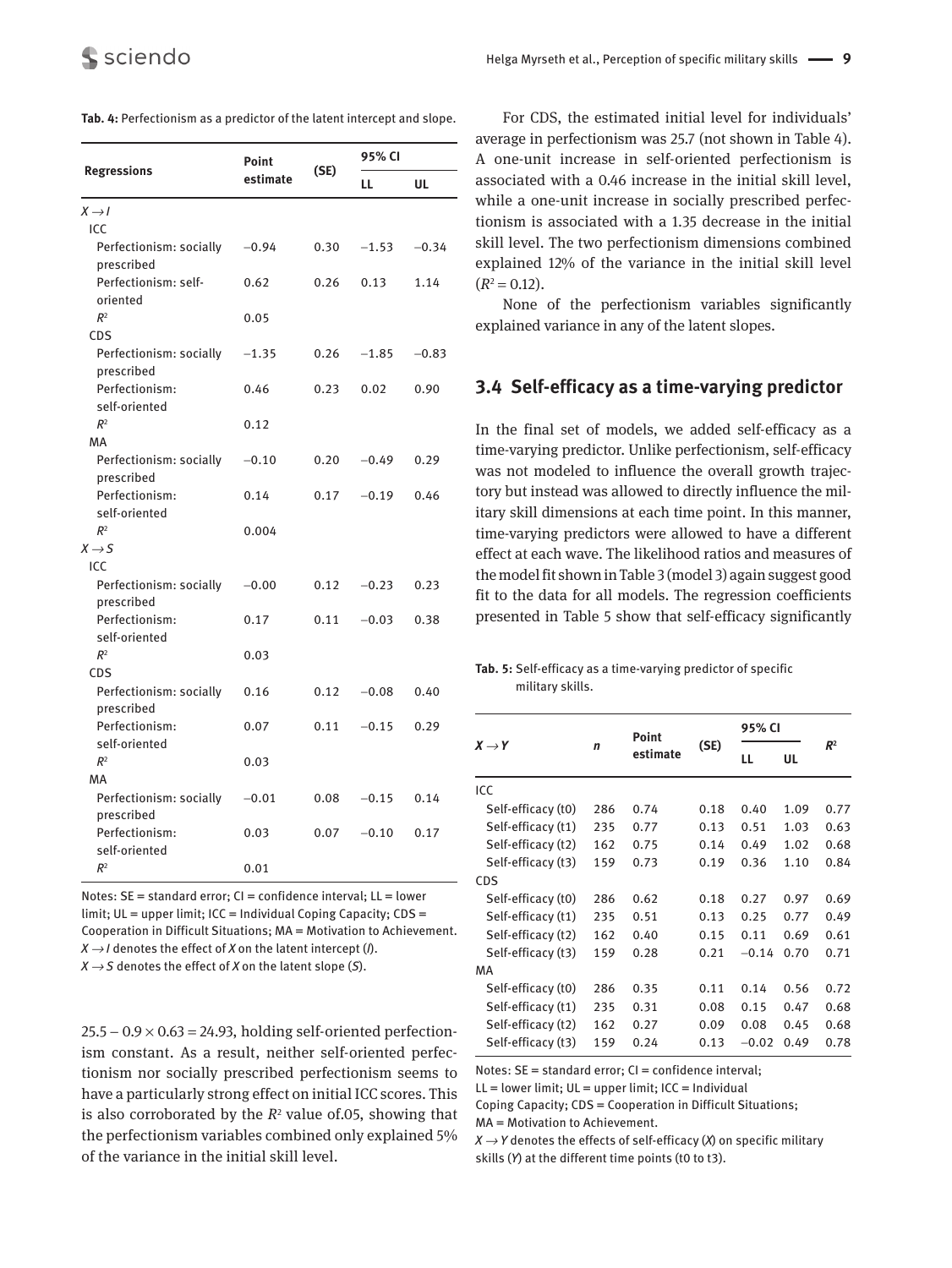|                                       | Point    |      | 95% CI  |         |  |
|---------------------------------------|----------|------|---------|---------|--|
| <b>Regressions</b>                    | estimate | (SE) | LL      | UL      |  |
| $X \rightarrow I$                     |          |      |         |         |  |
| ICC                                   |          |      |         |         |  |
| Perfectionism: socially<br>prescribed | $-0.94$  | 0.30 | $-1.53$ | $-0.34$ |  |
| Perfectionism: self-<br>oriented      | 0.62     | 0.26 | 0.13    | 1.14    |  |
| R <sup>2</sup>                        | 0.05     |      |         |         |  |
| <b>CDS</b>                            |          |      |         |         |  |
| Perfectionism: socially<br>prescribed | $-1.35$  | 0.26 | $-1.85$ | $-0.83$ |  |
| Perfectionism:<br>self-oriented       | 0.46     | 0.23 | 0.02    | 0.90    |  |
| R <sup>2</sup>                        | 0.12     |      |         |         |  |
| MA                                    |          |      |         |         |  |
| Perfectionism: socially<br>prescribed | $-0.10$  | 0.20 | $-0.49$ | 0.29    |  |
| Perfectionism:<br>self-oriented       | 0.14     | 0.17 | $-0.19$ | 0.46    |  |
| R <sup>2</sup>                        | 0.004    |      |         |         |  |
| $X \rightarrow S$                     |          |      |         |         |  |
| ICC                                   |          |      |         |         |  |
| Perfectionism: socially<br>prescribed | $-0.00$  | 0.12 | $-0.23$ | 0.23    |  |
| Perfectionism:<br>self-oriented       | 0.17     | 0.11 | $-0.03$ | 0.38    |  |
| R <sup>2</sup>                        | 0.03     |      |         |         |  |
| <b>CDS</b>                            |          |      |         |         |  |
| Perfectionism: socially<br>prescribed | 0.16     | 0.12 | $-0.08$ | 0.40    |  |
| Perfectionism:<br>self-oriented       | 0.07     | 0.11 | $-0.15$ | 0.29    |  |
| R <sup>2</sup>                        | 0.03     |      |         |         |  |
| МA                                    |          |      |         |         |  |
| Perfectionism: socially               | $-0.01$  | 0.08 | $-0.15$ | 0.14    |  |
| prescribed                            |          |      |         |         |  |
| Perfectionism:<br>self-oriented       | 0.03     | 0.07 | $-0.10$ | 0.17    |  |
| R <sup>2</sup>                        | 0.01     |      |         |         |  |

| <b>Tab. 4:</b> Perfectionism as a predictor of the latent intercept and slope. |  |
|--------------------------------------------------------------------------------|--|
|--------------------------------------------------------------------------------|--|

Notes: SE = standard error; CI = confidence interval; LL = lower limit; UL = upper limit; ICC = Individual Coping Capacity; CDS = Cooperation in Difficult Situations; MA = Motivation to Achievement.  $X \rightarrow I$  denotes the effect of *X* on the latent intercept (*I*).  $X \rightarrow S$  denotes the effect of *X* on the latent slope (*S*).

 $25.5 - 0.9 \times 0.63 = 24.93$ , holding self-oriented perfectionism constant. As a result, neither self-oriented perfectionism nor socially prescribed perfectionism seems to have a particularly strong effect on initial ICC scores. This is also corroborated by the  $R<sup>2</sup>$  value of 05, showing that the perfectionism variables combined only explained 5% of the variance in the initial skill level.

For CDS, the estimated initial level for individuals' average in perfectionism was 25.7 (not shown in Table 4). A one-unit increase in self-oriented perfectionism is associated with a 0.46 increase in the initial skill level, while a one-unit increase in socially prescribed perfectionism is associated with a 1.35 decrease in the initial skill level. The two perfectionism dimensions combined explained 12% of the variance in the initial skill level  $(R^2 = 0.12)$ .

None of the perfectionism variables significantly explained variance in any of the latent slopes.

#### **3.4 Self-efficacy as a time-varying predictor**

In the final set of models, we added self-efficacy as a time-varying predictor. Unlike perfectionism, self-efficacy was not modeled to influence the overall growth trajectory but instead was allowed to directly influence the military skill dimensions at each time point. In this manner, time-varying predictors were allowed to have a different effect at each wave. The likelihood ratios and measures of the model fit shown in Table 3 (model 3) again suggest good fit to the data for all models. The regression coefficients presented in Table 5 show that self-efficacy significantly

**Tab. 5:** Self-efficacy as a time-varying predictor of specific military skills.

|                    |             | Point    |      | 95% CI  |      |       |
|--------------------|-------------|----------|------|---------|------|-------|
| $X \rightarrow Y$  | $\mathbf n$ | estimate | (SE) | LL      | UL   | $R^2$ |
| ICC                |             |          |      |         |      |       |
| Self-efficacy (t0) | 286         | 0.74     | 0.18 | 0.40    | 1.09 | 0.77  |
| Self-efficacy (t1) | 235         | 0.77     | 0.13 | 0.51    | 1.03 | 0.63  |
| Self-efficacy (t2) | 162         | 0.75     | 0.14 | 0.49    | 1.02 | 0.68  |
| Self-efficacy (t3) | 159         | 0.73     | 0.19 | 0.36    | 1.10 | 0.84  |
| CDS                |             |          |      |         |      |       |
| Self-efficacy (t0) | 286         | 0.62     | 0.18 | 0.27    | 0.97 | 0.69  |
| Self-efficacy (t1) | 235         | 0.51     | 0.13 | 0.25    | 0.77 | 0.49  |
| Self-efficacy (t2) | 162         | 0.40     | 0.15 | 0.11    | 0.69 | 0.61  |
| Self-efficacy (t3) | 159         | 0.28     | 0.21 | $-0.14$ | 0.70 | 0.71  |
| МA                 |             |          |      |         |      |       |
| Self-efficacy (t0) | 286         | 0.35     | 0.11 | 0.14    | 0.56 | 0.72  |
| Self-efficacy (t1) | 235         | 0.31     | 0.08 | 0.15    | 0.47 | 0.68  |
| Self-efficacy (t2) | 162         | 0.27     | 0.09 | 0.08    | 0.45 | 0.68  |
| Self-efficacy (t3) | 159         | 0.24     | 0.13 | $-0.02$ | 0.49 | 0.78  |

Notes: SE = standard error; CI = confidence interval;

 $LL =$  lower limit;  $UL =$  upper limit;  $ICC =$  Individual

Coping Capacity; CDS = Cooperation in Difficult Situations; MA = Motivation to Achievement.

*X → Y* denotes the effects of self-efficacy (*X*) on specific military skills (*Y*) at the different time points (t0 to t3).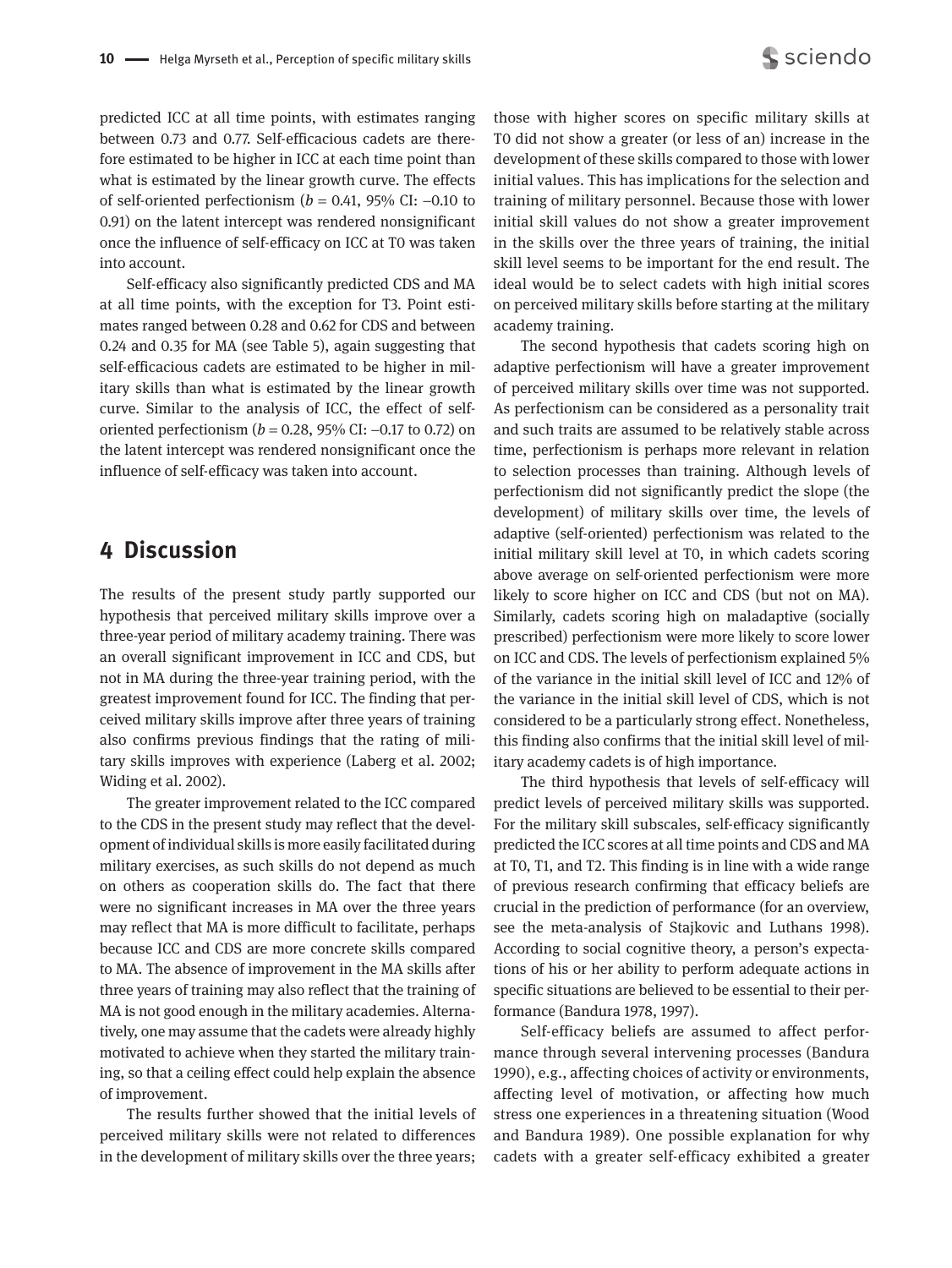predicted ICC at all time points, with estimates ranging between 0.73 and 0.77. Self-efficacious cadets are therefore estimated to be higher in ICC at each time point than what is estimated by the linear growth curve. The effects of self-oriented perfectionism ( $b = 0.41$ , 95% CI:  $-0.10$  to 0.91) on the latent intercept was rendered nonsignificant once the influence of self-efficacy on ICC at T0 was taken into account.

Self-efficacy also significantly predicted CDS and MA at all time points, with the exception for T3. Point estimates ranged between 0.28 and 0.62 for CDS and between 0.24 and 0.35 for MA (see Table 5), again suggesting that self-efficacious cadets are estimated to be higher in military skills than what is estimated by the linear growth curve. Similar to the analysis of ICC, the effect of self-oriented perfectionism ( $b = 0.28$ , 95% CI:  $-0.17$  to 0.72) on the latent intercept was rendered nonsignificant once the influence of self-efficacy was taken into account.

## **4 Discussion**

The results of the present study partly supported our hypothesis that perceived military skills improve over a three-year period of military academy training. There was an overall significant improvement in ICC and CDS, but not in MA during the three-year training period, with the greatest improvement found for ICC. The finding that perceived military skills improve after three years of training also confirms previous findings that the rating of military skills improves with experience (Laberg et al. 2002; Widing et al. 2002).

The greater improvement related to the ICC compared to the CDS in the present study may reflect that the development of individual skills is more easily facilitated during military exercises, as such skills do not depend as much on others as cooperation skills do. The fact that there were no significant increases in MA over the three years may reflect that MA is more difficult to facilitate, perhaps because ICC and CDS are more concrete skills compared to MA. The absence of improvement in the MA skills after three years of training may also reflect that the training of MA is not good enough in the military academies. Alternatively, one may assume that the cadets were already highly motivated to achieve when they started the military training, so that a ceiling effect could help explain the absence of improvement.

The results further showed that the initial levels of perceived military skills were not related to differences in the development of military skills over the three years;

those with higher scores on specific military skills at T0 did not show a greater (or less of an) increase in the development of these skills compared to those with lower initial values. This has implications for the selection and training of military personnel. Because those with lower initial skill values do not show a greater improvement in the skills over the three years of training, the initial skill level seems to be important for the end result. The ideal would be to select cadets with high initial scores on perceived military skills before starting at the military academy training.

The second hypothesis that cadets scoring high on adaptive perfectionism will have a greater improvement of perceived military skills over time was not supported. As perfectionism can be considered as a personality trait and such traits are assumed to be relatively stable across time, perfectionism is perhaps more relevant in relation to selection processes than training. Although levels of perfectionism did not significantly predict the slope (the development) of military skills over time, the levels of adaptive (self-oriented) perfectionism was related to the initial military skill level at T0, in which cadets scoring above average on self-oriented perfectionism were more likely to score higher on ICC and CDS (but not on MA). Similarly, cadets scoring high on maladaptive (socially prescribed) perfectionism were more likely to score lower on ICC and CDS. The levels of perfectionism explained 5% of the variance in the initial skill level of ICC and 12% of the variance in the initial skill level of CDS, which is not considered to be a particularly strong effect. Nonetheless, this finding also confirms that the initial skill level of military academy cadets is of high importance.

The third hypothesis that levels of self-efficacy will predict levels of perceived military skills was supported. For the military skill subscales, self-efficacy significantly predicted the ICC scores at all time points and CDS and MA at T0, T1, and T2. This finding is in line with a wide range of previous research confirming that efficacy beliefs are crucial in the prediction of performance (for an overview, see the meta-analysis of Stajkovic and Luthans 1998). According to social cognitive theory, a person's expectations of his or her ability to perform adequate actions in specific situations are believed to be essential to their performance (Bandura 1978, 1997).

Self-efficacy beliefs are assumed to affect performance through several intervening processes (Bandura 1990), e.g., affecting choices of activity or environments, affecting level of motivation, or affecting how much stress one experiences in a threatening situation (Wood and Bandura 1989). One possible explanation for why cadets with a greater self-efficacy exhibited a greater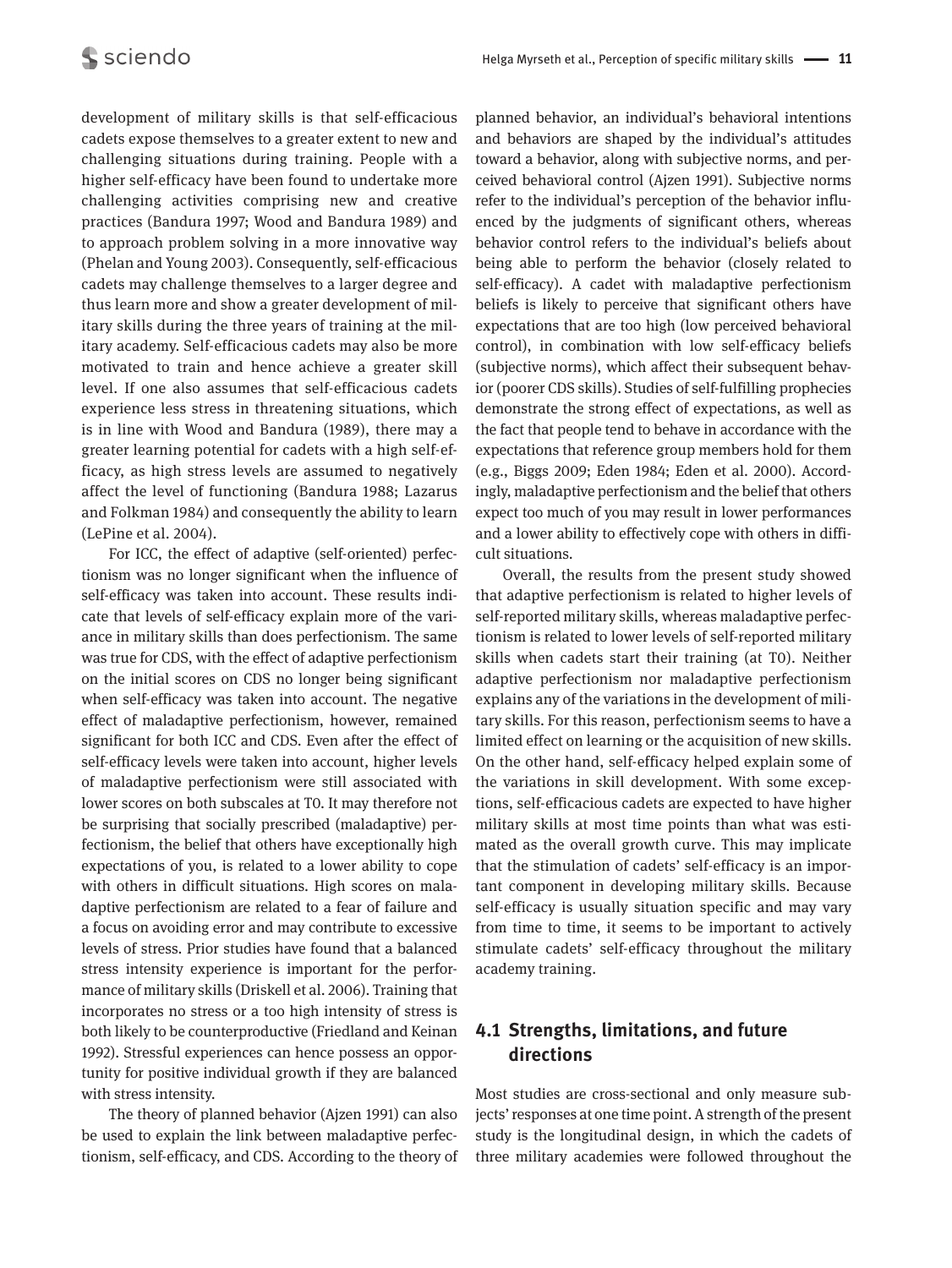development of military skills is that self-efficacious cadets expose themselves to a greater extent to new and challenging situations during training. People with a higher self-efficacy have been found to undertake more challenging activities comprising new and creative practices (Bandura 1997; Wood and Bandura 1989) and to approach problem solving in a more innovative way (Phelan and Young 2003). Consequently, self-efficacious cadets may challenge themselves to a larger degree and thus learn more and show a greater development of military skills during the three years of training at the military academy. Self-efficacious cadets may also be more motivated to train and hence achieve a greater skill level. If one also assumes that self-efficacious cadets experience less stress in threatening situations, which is in line with Wood and Bandura (1989), there may a greater learning potential for cadets with a high self-efficacy, as high stress levels are assumed to negatively affect the level of functioning (Bandura 1988; Lazarus and Folkman 1984) and consequently the ability to learn (LePine et al. 2004).

For ICC, the effect of adaptive (self-oriented) perfectionism was no longer significant when the influence of self-efficacy was taken into account. These results indicate that levels of self-efficacy explain more of the variance in military skills than does perfectionism. The same was true for CDS, with the effect of adaptive perfectionism on the initial scores on CDS no longer being significant when self-efficacy was taken into account. The negative effect of maladaptive perfectionism, however, remained significant for both ICC and CDS. Even after the effect of self-efficacy levels were taken into account, higher levels of maladaptive perfectionism were still associated with lower scores on both subscales at T0. It may therefore not be surprising that socially prescribed (maladaptive) perfectionism, the belief that others have exceptionally high expectations of you, is related to a lower ability to cope with others in difficult situations. High scores on maladaptive perfectionism are related to a fear of failure and a focus on avoiding error and may contribute to excessive levels of stress. Prior studies have found that a balanced stress intensity experience is important for the performance of military skills (Driskell et al. 2006). Training that incorporates no stress or a too high intensity of stress is both likely to be counterproductive (Friedland and Keinan 1992). Stressful experiences can hence possess an opportunity for positive individual growth if they are balanced with stress intensity.

The theory of planned behavior (Ajzen 1991) can also be used to explain the link between maladaptive perfectionism, self-efficacy, and CDS. According to the theory of

planned behavior, an individual's behavioral intentions and behaviors are shaped by the individual's attitudes toward a behavior, along with subjective norms, and perceived behavioral control (Ajzen 1991). Subjective norms refer to the individual's perception of the behavior influenced by the judgments of significant others, whereas behavior control refers to the individual's beliefs about being able to perform the behavior (closely related to self-efficacy). A cadet with maladaptive perfectionism beliefs is likely to perceive that significant others have expectations that are too high (low perceived behavioral control), in combination with low self-efficacy beliefs (subjective norms), which affect their subsequent behavior (poorer CDS skills). Studies of self-fulfilling prophecies demonstrate the strong effect of expectations, as well as the fact that people tend to behave in accordance with the expectations that reference group members hold for them (e.g., Biggs 2009; Eden 1984; Eden et al. 2000). Accordingly, maladaptive perfectionism and the belief that others expect too much of you may result in lower performances and a lower ability to effectively cope with others in difficult situations.

Overall, the results from the present study showed that adaptive perfectionism is related to higher levels of self-reported military skills, whereas maladaptive perfectionism is related to lower levels of self-reported military skills when cadets start their training (at T0). Neither adaptive perfectionism nor maladaptive perfectionism explains any of the variations in the development of military skills. For this reason, perfectionism seems to have a limited effect on learning or the acquisition of new skills. On the other hand, self-efficacy helped explain some of the variations in skill development. With some exceptions, self-efficacious cadets are expected to have higher military skills at most time points than what was estimated as the overall growth curve. This may implicate that the stimulation of cadets' self-efficacy is an important component in developing military skills. Because self-efficacy is usually situation specific and may vary from time to time, it seems to be important to actively stimulate cadets' self-efficacy throughout the military academy training.

## **4.1 Strengths, limitations, and future directions**

Most studies are cross-sectional and only measure subjects' responses at one time point. A strength of the present study is the longitudinal design, in which the cadets of three military academies were followed throughout the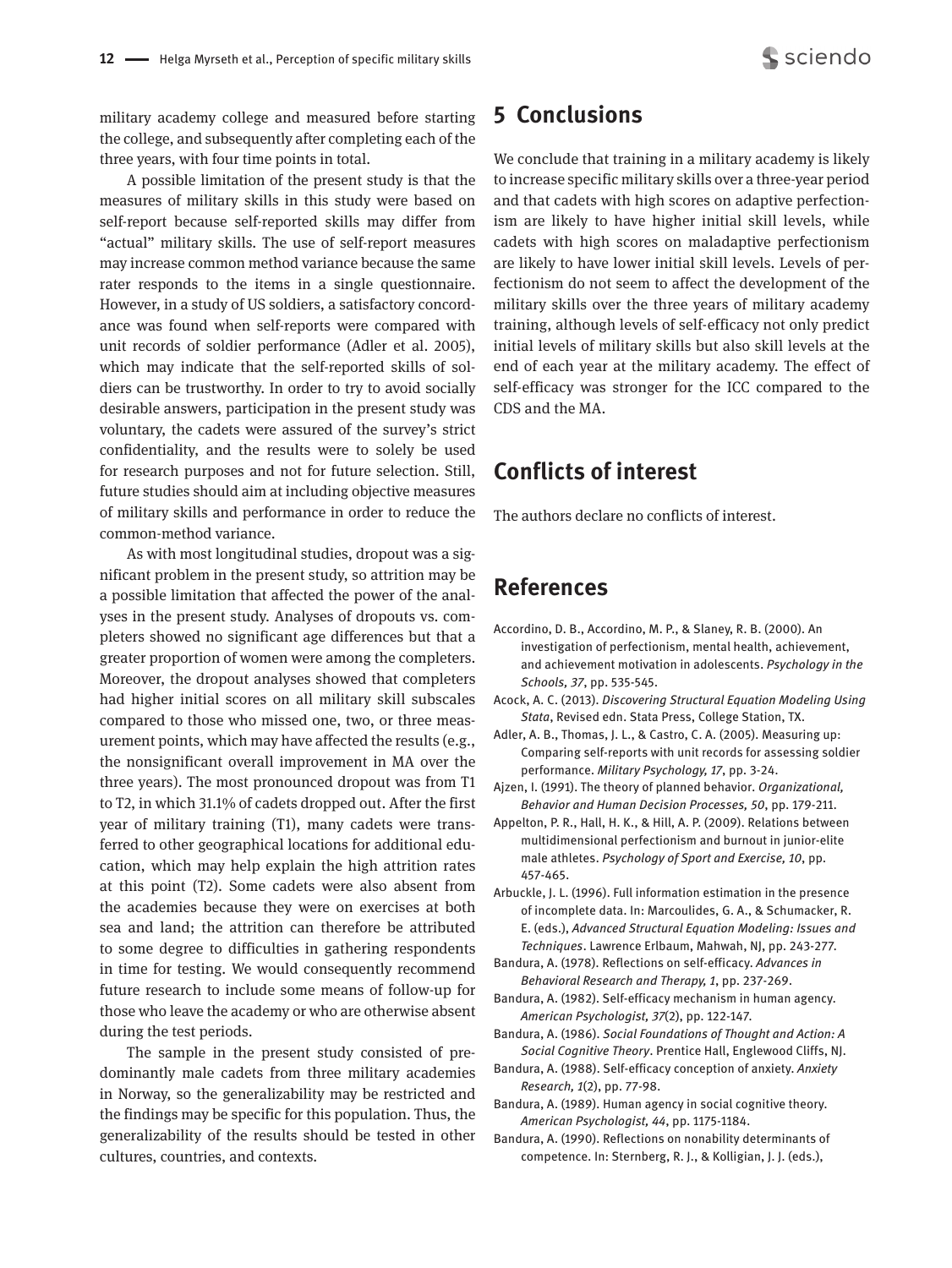military academy college and measured before starting the college, and subsequently after completing each of the three years, with four time points in total.

A possible limitation of the present study is that the measures of military skills in this study were based on self-report because self-reported skills may differ from "actual" military skills. The use of self-report measures may increase common method variance because the same rater responds to the items in a single questionnaire. However, in a study of US soldiers, a satisfactory concordance was found when self-reports were compared with unit records of soldier performance (Adler et al. 2005), which may indicate that the self-reported skills of soldiers can be trustworthy. In order to try to avoid socially desirable answers, participation in the present study was voluntary, the cadets were assured of the survey's strict confidentiality, and the results were to solely be used for research purposes and not for future selection. Still, future studies should aim at including objective measures of military skills and performance in order to reduce the common-method variance.

As with most longitudinal studies, dropout was a significant problem in the present study, so attrition may be a possible limitation that affected the power of the analyses in the present study. Analyses of dropouts vs. completers showed no significant age differences but that a greater proportion of women were among the completers. Moreover, the dropout analyses showed that completers had higher initial scores on all military skill subscales compared to those who missed one, two, or three measurement points, which may have affected the results (e.g., the nonsignificant overall improvement in MA over the three years). The most pronounced dropout was from T1 to T2, in which 31.1% of cadets dropped out. After the first year of military training (T1), many cadets were transferred to other geographical locations for additional education, which may help explain the high attrition rates at this point (T2). Some cadets were also absent from the academies because they were on exercises at both sea and land; the attrition can therefore be attributed to some degree to difficulties in gathering respondents in time for testing. We would consequently recommend future research to include some means of follow-up for those who leave the academy or who are otherwise absent during the test periods.

The sample in the present study consisted of predominantly male cadets from three military academies in Norway, so the generalizability may be restricted and the findings may be specific for this population. Thus, the generalizability of the results should be tested in other cultures, countries, and contexts.

# **5 Conclusions**

We conclude that training in a military academy is likely to increase specific military skills over a three-year period and that cadets with high scores on adaptive perfectionism are likely to have higher initial skill levels, while cadets with high scores on maladaptive perfectionism are likely to have lower initial skill levels. Levels of perfectionism do not seem to affect the development of the military skills over the three years of military academy training, although levels of self-efficacy not only predict initial levels of military skills but also skill levels at the end of each year at the military academy. The effect of self-efficacy was stronger for the ICC compared to the CDS and the MA.

## **Conflicts of interest**

The authors declare no conflicts of interest.

# **References**

- Accordino, D. B., Accordino, M. P., & Slaney, R. B. (2000). An investigation of perfectionism, mental health, achievement, and achievement motivation in adolescents. *Psychology in the Schools, 37*, pp. 535-545.
- Acock, A. C. (2013). *Discovering Structural Equation Modeling Using Stata*, Revised edn. Stata Press, College Station, TX.
- Adler, A. B., Thomas, J. L., & Castro, C. A. (2005). Measuring up: Comparing self-reports with unit records for assessing soldier performance. *Military Psychology, 17*, pp. 3-24.
- Ajzen, I. (1991). The theory of planned behavior. *Organizational, Behavior and Human Decision Processes, 50*, pp. 179-211.
- Appelton, P. R., Hall, H. K., & Hill, A. P. (2009). Relations between multidimensional perfectionism and burnout in junior-elite male athletes. *Psychology of Sport and Exercise, 10*, pp. 457-465.
- Arbuckle, J. L. (1996). Full information estimation in the presence of incomplete data. In: Marcoulides, G. A., & Schumacker, R. E. (eds.), *Advanced Structural Equation Modeling: Issues and Techniques*. Lawrence Erlbaum, Mahwah, NJ, pp. 243-277.
- Bandura, A. (1978). Reflections on self-efficacy. *Advances in Behavioral Research and Therapy, 1*, pp. 237-269.
- Bandura, A. (1982). Self-efficacy mechanism in human agency. *American Psychologist, 37*(2), pp. 122-147.
- Bandura, A. (1986). *Social Foundations of Thought and Action: A Social Cognitive Theory*. Prentice Hall, Englewood Cliffs, NJ.
- Bandura, A. (1988). Self-efficacy conception of anxiety. *Anxiety Research, 1*(2), pp. 77-98.
- Bandura, A. (1989). Human agency in social cognitive theory. *American Psychologist, 44*, pp. 1175-1184.
- Bandura, A. (1990). Reflections on nonability determinants of competence. In: Sternberg, R. J., & Kolligian, J. J. (eds.),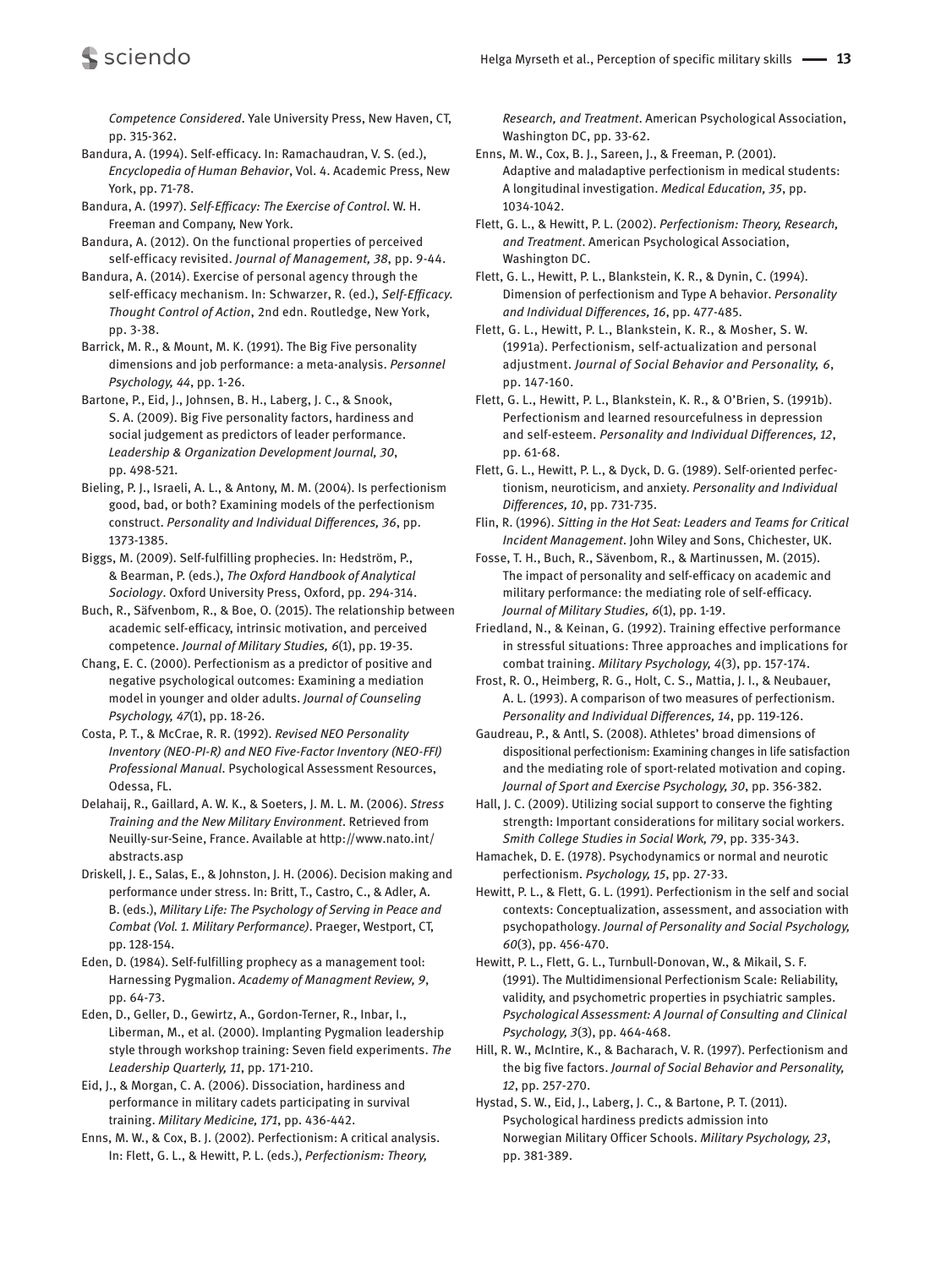*Competence Considered*. Yale University Press, New Haven, CT, pp. 315-362.

Bandura, A. (1994). Self-efficacy. In: Ramachaudran, V. S. (ed.), *Encyclopedia of Human Behavior*, Vol. 4. Academic Press, New York, pp. 71-78.

Bandura, A. (1997). *Self-Efficacy: The Exercise of Control*. W. H. Freeman and Company, New York.

sciendo

Bandura, A. (2012). On the functional properties of perceived self-efficacy revisited. *Journal of Management, 38*, pp. 9-44.

Bandura, A. (2014). Exercise of personal agency through the self-efficacy mechanism. In: Schwarzer, R. (ed.), *Self-Efficacy. Thought Control of Action*, 2nd edn. Routledge, New York, pp. 3-38.

Barrick, M. R., & Mount, M. K. (1991). The Big Five personality dimensions and job performance: a meta-analysis. *Personnel Psychology, 44*, pp. 1-26.

Bartone, P., Eid, J., Johnsen, B. H., Laberg, J. C., & Snook, S. A. (2009). Big Five personality factors, hardiness and social judgement as predictors of leader performance. *Leadership & Organization Development Journal, 30*, pp. 498-521.

Bieling, P. J., Israeli, A. L., & Antony, M. M. (2004). Is perfectionism good, bad, or both? Examining models of the perfectionism construct. *Personality and Individual Differences, 36*, pp. 1373-1385.

Biggs, M. (2009). Self-fulfilling prophecies. In: Hedström, P., & Bearman, P. (eds.), *The Oxford Handbook of Analytical Sociology*. Oxford University Press, Oxford, pp. 294-314.

Buch, R., Säfvenbom, R., & Boe, O. (2015). The relationship between academic self-efficacy, intrinsic motivation, and perceived competence. *Journal of Military Studies, 6*(1), pp. 19-35.

Chang, E. C. (2000). Perfectionism as a predictor of positive and negative psychological outcomes: Examining a mediation model in younger and older adults. *Journal of Counseling Psychology, 47*(1), pp. 18-26.

Costa, P. T., & McCrae, R. R. (1992). *Revised NEO Personality Inventory (NEO-PI-R) and NEO Five-Factor Inventory (NEO-FFI) Professional Manual*. Psychological Assessment Resources, Odessa, FL.

Delahaij, R., Gaillard, A. W. K., & Soeters, J. M. L. M. (2006). *Stress Training and the New Military Environment*. Retrieved from Neuilly-sur-Seine, France. Available at http://www.nato.int/ abstracts.asp

Driskell, J. E., Salas, E., & Johnston, J. H. (2006). Decision making and performance under stress. In: Britt, T., Castro, C., & Adler, A. B. (eds.), *Military Life: The Psychology of Serving in Peace and Combat (Vol. 1. Military Performance)*. Praeger, Westport, CT, pp. 128-154.

Eden, D. (1984). Self-fulfilling prophecy as a management tool: Harnessing Pygmalion. *Academy of Managment Review, 9*, pp. 64-73.

Eden, D., Geller, D., Gewirtz, A., Gordon-Terner, R., Inbar, I., Liberman, M., et al. (2000). Implanting Pygmalion leadership style through workshop training: Seven field experiments. *The Leadership Quarterly, 11*, pp. 171-210.

Eid, J., & Morgan, C. A. (2006). Dissociation, hardiness and performance in military cadets participating in survival training. *Military Medicine, 171*, pp. 436-442.

Enns, M. W., & Cox, B. J. (2002). Perfectionism: A critical analysis. In: Flett, G. L., & Hewitt, P. L. (eds.), *Perfectionism: Theory,* 

*Research, and Treatment*. American Psychological Association, Washington DC, pp. 33-62.

Enns, M. W., Cox, B. J., Sareen, J., & Freeman, P. (2001). Adaptive and maladaptive perfectionism in medical students: A longitudinal investigation. *Medical Education, 35*, pp. 1034-1042.

Flett, G. L., & Hewitt, P. L. (2002). *Perfectionism: Theory, Research, and Treatment*. American Psychological Association, Washington DC.

Flett, G. L., Hewitt, P. L., Blankstein, K. R., & Dynin, C. (1994). Dimension of perfectionism and Type A behavior. *Personality and Individual Differences, 16*, pp. 477-485.

Flett, G. L., Hewitt, P. L., Blankstein, K. R., & Mosher, S. W. (1991a). Perfectionism, self-actualization and personal adjustment. *Journal of Social Behavior and Personality, 6*, pp. 147-160.

Flett, G. L., Hewitt, P. L., Blankstein, K. R., & O'Brien, S. (1991b). Perfectionism and learned resourcefulness in depression and self-esteem. *Personality and Individual Differences, 12*, pp. 61-68.

Flett, G. L., Hewitt, P. L., & Dyck, D. G. (1989). Self-oriented perfectionism, neuroticism, and anxiety. *Personality and Individual Differences, 10*, pp. 731-735.

Flin, R. (1996). *Sitting in the Hot Seat: Leaders and Teams for Critical Incident Management*. John Wiley and Sons, Chichester, UK.

Fosse, T. H., Buch, R., Sävenbom, R., & Martinussen, M. (2015). The impact of personality and self-efficacy on academic and military performance: the mediating role of self-efficacy. *Journal of Military Studies, 6*(1), pp. 1-19.

Friedland, N., & Keinan, G. (1992). Training effective performance in stressful situations: Three approaches and implications for combat training. *Military Psychology, 4*(3), pp. 157-174.

Frost, R. O., Heimberg, R. G., Holt, C. S., Mattia, J. I., & Neubauer, A. L. (1993). A comparison of two measures of perfectionism. *Personality and Individual Differences, 14*, pp. 119-126.

Gaudreau, P., & Antl, S. (2008). Athletes' broad dimensions of dispositional perfectionism: Examining changes in life satisfaction and the mediating role of sport-related motivation and coping. *Journal of Sport and Exercise Psychology, 30*, pp. 356-382.

Hall, J. C. (2009). Utilizing social support to conserve the fighting strength: Important considerations for military social workers. *Smith College Studies in Social Work, 79*, pp. 335-343.

Hamachek, D. E. (1978). Psychodynamics or normal and neurotic perfectionism. *Psychology, 15*, pp. 27-33.

Hewitt, P. L., & Flett, G. L. (1991). Perfectionism in the self and social contexts: Conceptualization, assessment, and association with psychopathology. *Journal of Personality and Social Psychology, 60*(3), pp. 456-470.

Hewitt, P. L., Flett, G. L., Turnbull-Donovan, W., & Mikail, S. F. (1991). The Multidimensional Perfectionism Scale: Reliability, validity, and psychometric properties in psychiatric samples. *Psychological Assessment: A Journal of Consulting and Clinical Psychology, 3*(3), pp. 464-468.

Hill, R. W., McIntire, K., & Bacharach, V. R. (1997). Perfectionism and the big five factors. *Journal of Social Behavior and Personality, 12*, pp. 257-270.

Hystad, S. W., Eid, J., Laberg, J. C., & Bartone, P. T. (2011). Psychological hardiness predicts admission into Norwegian Military Officer Schools. *Military Psychology, 23*, pp. 381-389.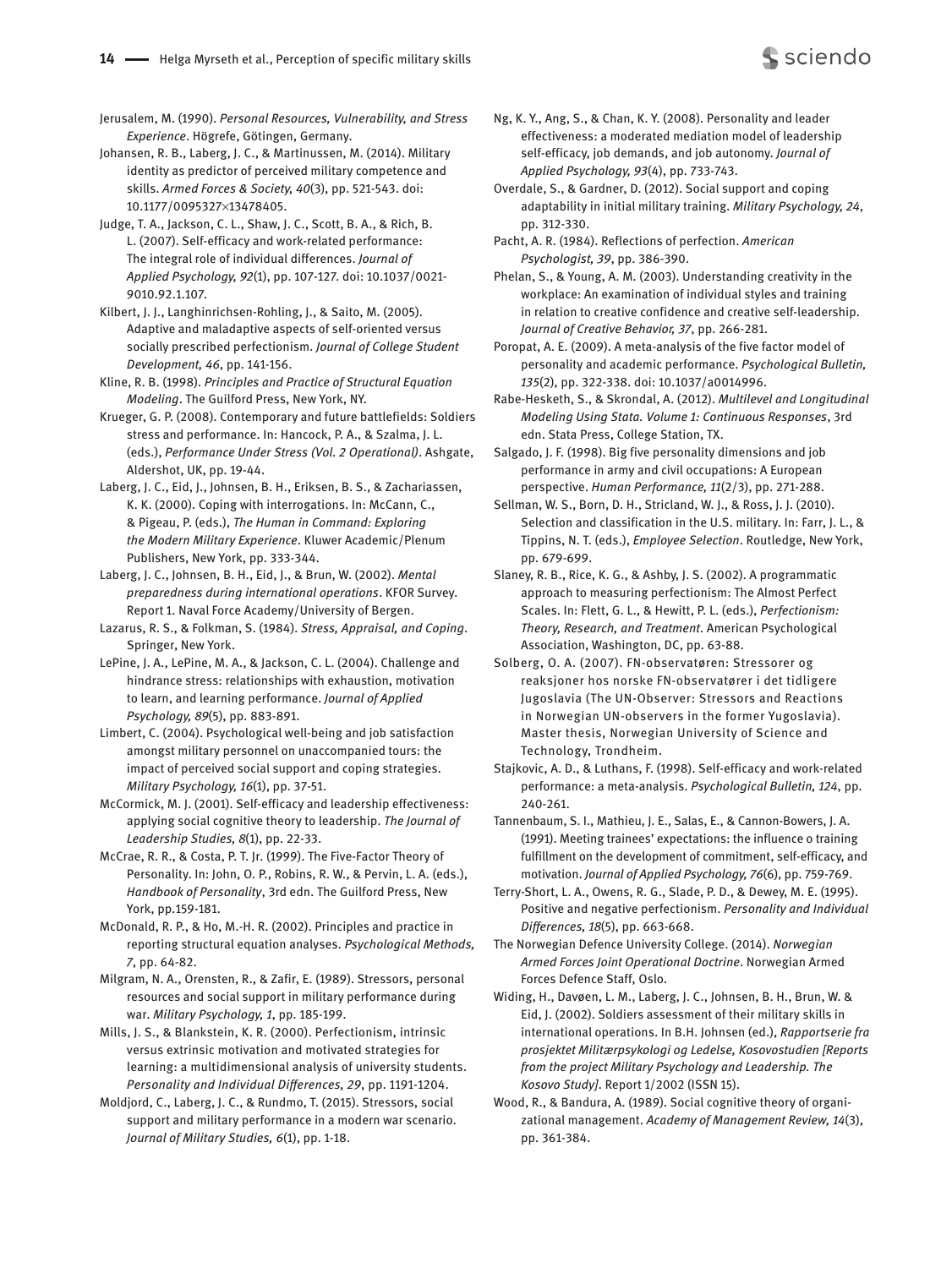Jerusalem, M. (1990). *Personal Resources, Vulnerability, and Stress Experience*. Högrefe, Götingen, Germany.

Johansen, R. B., Laberg, J. C., & Martinussen, M. (2014). Military identity as predictor of perceived military competence and skills. *Armed Forces & Society, 40*(3), pp. 521-543. doi: 10.1177/0095327×13478405.

Judge, T. A., Jackson, C. L., Shaw, J. C., Scott, B. A., & Rich, B. L. (2007). Self-efficacy and work-related performance: The integral role of individual differences. *Journal of Applied Psychology, 92*(1), pp. 107-127. doi: 10.1037/0021- 9010.92.1.107.

Kilbert, J. J., Langhinrichsen-Rohling, J., & Saito, M. (2005). Adaptive and maladaptive aspects of self-oriented versus socially prescribed perfectionism. *Journal of College Student Development, 46*, pp. 141-156.

Kline, R. B. (1998). *Principles and Practice of Structural Equation Modeling*. The Guilford Press, New York, NY.

Krueger, G. P. (2008). Contemporary and future battlefields: Soldiers stress and performance. In: Hancock, P. A., & Szalma, J. L. (eds.), *Performance Under Stress (Vol. 2 Operational)*. Ashgate, Aldershot, UK, pp. 19-44.

Laberg, J. C., Eid, J., Johnsen, B. H., Eriksen, B. S., & Zachariassen, K. K. (2000). Coping with interrogations. In: McCann, C., & Pigeau, P. (eds.), *The Human in Command: Exploring the Modern Military Experience*. Kluwer Academic/Plenum Publishers, New York, pp. 333-344.

Laberg, J. C., Johnsen, B. H., Eid, J., & Brun, W. (2002). *Mental preparedness during international operations*. KFOR Survey. Report 1. Naval Force Academy/University of Bergen.

Lazarus, R. S., & Folkman, S. (1984). *Stress, Appraisal, and Coping*. Springer, New York.

LePine, J. A., LePine, M. A., & Jackson, C. L. (2004). Challenge and hindrance stress: relationships with exhaustion, motivation to learn, and learning performance. *Journal of Applied Psychology, 89*(5), pp. 883-891.

Limbert, C. (2004). Psychological well-being and job satisfaction amongst military personnel on unaccompanied tours: the impact of perceived social support and coping strategies. *Military Psychology, 16*(1), pp. 37-51.

McCormick, M. J. (2001). Self-efficacy and leadership effectiveness: applying social cognitive theory to leadership. *The Journal of Leadership Studies, 8*(1), pp. 22-33.

McCrae, R. R., & Costa, P. T. Jr. (1999). The Five-Factor Theory of Personality. In: John, O. P., Robins, R. W., & Pervin, L. A. (eds.), *Handbook of Personality*, 3rd edn. The Guilford Press, New York, pp.159-181.

McDonald, R. P., & Ho, M.-H. R. (2002). Principles and practice in reporting structural equation analyses. *Psychological Methods, 7*, pp. 64-82.

Milgram, N. A., Orensten, R., & Zafir, E. (1989). Stressors, personal resources and social support in military performance during war. *Military Psychology, 1*, pp. 185-199.

Mills, J. S., & Blankstein, K. R. (2000). Perfectionism, intrinsic versus extrinsic motivation and motivated strategies for learning: a multidimensional analysis of university students. *Personality and Individual Differences, 29*, pp. 1191-1204.

Moldjord, C., Laberg, J. C., & Rundmo, T. (2015). Stressors, social support and military performance in a modern war scenario. *Journal of Military Studies, 6*(1), pp. 1-18.

Ng, K. Y., Ang, S., & Chan, K. Y. (2008). Personality and leader effectiveness: a moderated mediation model of leadership self-efficacy, job demands, and job autonomy. *Journal of Applied Psychology, 93*(4), pp. 733-743.

Overdale, S., & Gardner, D. (2012). Social support and coping adaptability in initial military training. *Military Psychology, 24*, pp. 312-330.

Pacht, A. R. (1984). Reflections of perfection. *American Psychologist, 39*, pp. 386-390.

Phelan, S., & Young, A. M. (2003). Understanding creativity in the workplace: An examination of individual styles and training in relation to creative confidence and creative self-leadership. *Journal of Creative Behavior, 37*, pp. 266-281.

Poropat, A. E. (2009). A meta-analysis of the five factor model of personality and academic performance. *Psychological Bulletin, 135*(2), pp. 322-338. doi: 10.1037/a0014996.

Rabe-Hesketh, S., & Skrondal, A. (2012). *Multilevel and Longitudinal Modeling Using Stata. Volume 1: Continuous Responses*, 3rd edn. Stata Press, College Station, TX.

Salgado, J. F. (1998). Big five personality dimensions and job performance in army and civil occupations: A European perspective. *Human Performance, 11*(2/3), pp. 271-288.

Sellman, W. S., Born, D. H., Stricland, W. J., & Ross, J. J. (2010). Selection and classification in the U.S. military. In: Farr, J. L., & Tippins, N. T. (eds.), *Employee Selection*. Routledge, New York, pp. 679-699.

Slaney, R. B., Rice, K. G., & Ashby, J. S. (2002). A programmatic approach to measuring perfectionism: The Almost Perfect Scales. In: Flett, G. L., & Hewitt, P. L. (eds.), *Perfectionism: Theory, Research, and Treatment*. American Psychological Association, Washington, DC, pp. 63-88.

Solberg, O. A. (2007). FN-observatøren: Stressorer og reaksjoner hos norske FN-observatører i det tidligere Jugoslavia (The UN-Observer: Stressors and Reactions in Norwegian UN-observers in the former Yugoslavia). Master thesis, Norwegian University of Science and Technology, Trondheim.

Stajkovic, A. D., & Luthans, F. (1998). Self-efficacy and work-related performance: a meta-analysis. *Psychological Bulletin, 124*, pp. 240-261.

Tannenbaum, S. I., Mathieu, J. E., Salas, E., & Cannon-Bowers, J. A. (1991). Meeting trainees' expectations: the influence o training fulfillment on the development of commitment, self-efficacy, and motivation. *Journal of Applied Psychology, 76*(6), pp. 759-769.

Terry-Short, L. A., Owens, R. G., Slade, P. D., & Dewey, M. E. (1995). Positive and negative perfectionism. *Personality and Individual Differences, 18*(5), pp. 663-668.

The Norwegian Defence University College. (2014). *Norwegian Armed Forces Joint Operational Doctrine*. Norwegian Armed Forces Defence Staff, Oslo.

Widing, H., Davøen, L. M., Laberg, J. C., Johnsen, B. H., Brun, W. & Eid, J. (2002). Soldiers assessment of their military skills in international operations. In B.H. Johnsen (ed.), *Rapportserie fra prosjektet Militærpsykologi og Ledelse, Kosovostudien [Reports from the project Military Psychology and Leadership. The Kosovo Study]*. Report 1/2002 (ISSN 15).

Wood, R., & Bandura, A. (1989). Social cognitive theory of organizational management. *Academy of Management Review, 14*(3), pp. 361-384.